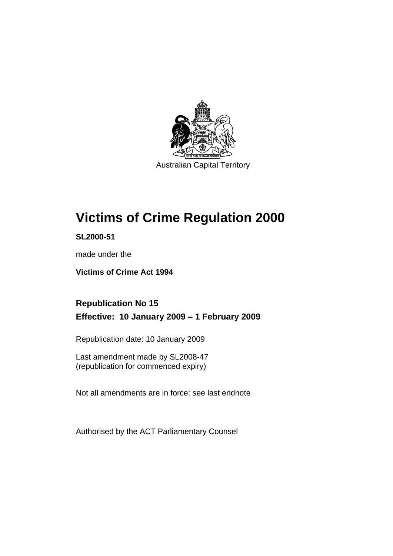

Australian Capital Territory

# **[Victims of Crime Regulation 2000](#page-6-0)**

**SL2000-51** 

made under the

**[Victims of Crime Act 1994](#page-6-0)** 

# **Republication No 15 Effective: 10 January 2009 – 1 February 2009**

Republication date: 10 January 2009

Last amendment made by SL2008-47 (republication for commenced expiry)

Not all amendments are in force: see last endnote

Authorised by the ACT Parliamentary Counsel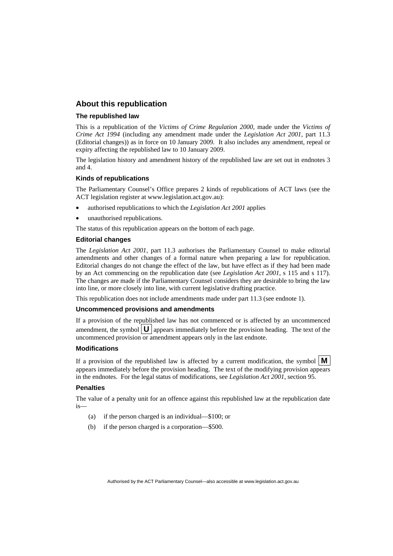#### **About this republication**

#### **The republished law**

This is a republication of the *Victims of Crime Regulation 2000*, made under the *[Victims of](#page-6-0)  [Crime Act 1994](#page-6-0)* (including any amendment made under the *Legislation Act 2001*, part 11.3 (Editorial changes)) as in force on 10 January 2009*.* It also includes any amendment, repeal or expiry affecting the republished law to 10 January 2009.

The legislation history and amendment history of the republished law are set out in endnotes 3 and 4.

#### **Kinds of republications**

The Parliamentary Counsel's Office prepares 2 kinds of republications of ACT laws (see the ACT legislation register at www.legislation.act.gov.au):

- authorised republications to which the *Legislation Act 2001* applies
- unauthorised republications.

The status of this republication appears on the bottom of each page.

#### **Editorial changes**

The *Legislation Act 2001*, part 11.3 authorises the Parliamentary Counsel to make editorial amendments and other changes of a formal nature when preparing a law for republication. Editorial changes do not change the effect of the law, but have effect as if they had been made by an Act commencing on the republication date (see *Legislation Act 2001*, s 115 and s 117). The changes are made if the Parliamentary Counsel considers they are desirable to bring the law into line, or more closely into line, with current legislative drafting practice.

This republication does not include amendments made under part 11.3 (see endnote 1).

#### **Uncommenced provisions and amendments**

If a provision of the republished law has not commenced or is affected by an uncommenced amendment, the symbol  $\mathbf{U}$  appears immediately before the provision heading. The text of the uncommenced provision  $\overline{or}$  amendment appears only in the last endnote.

#### **Modifications**

If a provision of the republished law is affected by a current modification, the symbol  $\mathbf{M}$ appears immediately before the provision heading. The text of the modifying provision appears in the endnotes. For the legal status of modifications, see *Legislation Act 2001*, section 95.

#### **Penalties**

The value of a penalty unit for an offence against this republished law at the republication date is—

- (a) if the person charged is an individual—\$100; or
- (b) if the person charged is a corporation—\$500.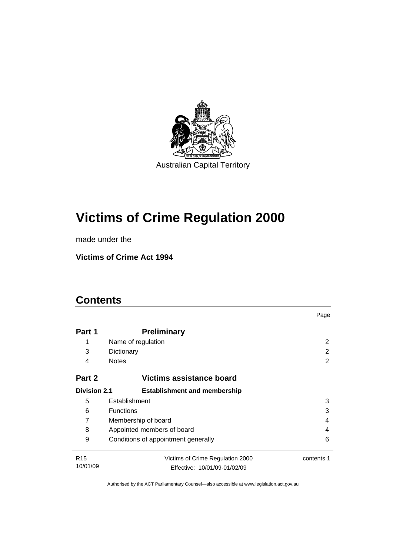

# **[Victims of Crime Regulation 2000](#page-6-0)**

made under the

**[Victims of Crime Act 1994](#page-6-0)** 

# **Contents**

|                     |                                          | Page       |  |
|---------------------|------------------------------------------|------------|--|
| Part 1              | <b>Preliminary</b>                       |            |  |
| 1                   | Name of regulation                       | 2          |  |
| 3                   | Dictionary                               | 2          |  |
| 4                   | <b>Notes</b>                             | 2          |  |
| Part 2              | Victims assistance board                 |            |  |
| <b>Division 2.1</b> | <b>Establishment and membership</b>      |            |  |
| 5                   | Establishment                            | 3          |  |
| 6                   | <b>Functions</b><br>3                    |            |  |
| 7                   | Membership of board<br>4                 |            |  |
| 8                   | Appointed members of board<br>4          |            |  |
| 9                   | Conditions of appointment generally<br>6 |            |  |
| R <sub>15</sub>     | Victims of Crime Regulation 2000         | contents 1 |  |
| 10/01/09            | Effective: 10/01/09-01/02/09             |            |  |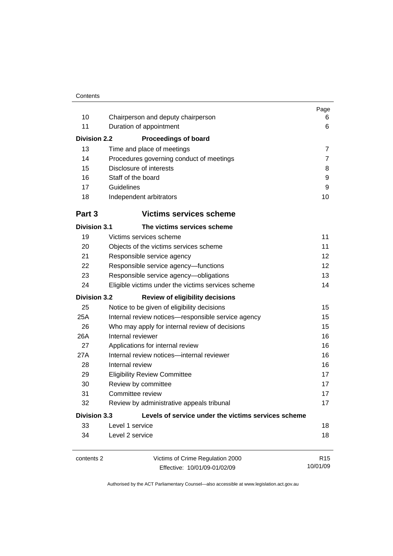| 10<br>11<br><b>Division 2.2</b> | Chairperson and deputy chairperson<br>Duration of appointment<br><b>Proceedings of board</b> | Page<br>6<br>6  |
|---------------------------------|----------------------------------------------------------------------------------------------|-----------------|
| 13                              | Time and place of meetings                                                                   | $\overline{7}$  |
| 14                              | Procedures governing conduct of meetings                                                     | 7               |
| 15                              | Disclosure of interests                                                                      | 8               |
| 16                              | Staff of the board                                                                           | 9               |
| 17                              | Guidelines                                                                                   | 9               |
| 18                              | Independent arbitrators                                                                      | 10              |
| Part 3                          | <b>Victims services scheme</b>                                                               |                 |
| <b>Division 3.1</b>             | The victims services scheme                                                                  |                 |
| 19                              | Victims services scheme                                                                      | 11              |
| 20                              | Objects of the victims services scheme                                                       | 11              |
| 21                              | Responsible service agency                                                                   | 12              |
| 22                              | Responsible service agency-functions                                                         | 12              |
| 23                              | Responsible service agency-obligations                                                       | 13              |
| 24                              | Eligible victims under the victims services scheme                                           | 14              |
| <b>Division 3.2</b>             | <b>Review of eligibility decisions</b>                                                       |                 |
| 25                              | Notice to be given of eligibility decisions                                                  | 15              |
| 25A                             | Internal review notices-responsible service agency                                           | 15              |
| 26                              | Who may apply for internal review of decisions                                               | 15              |
| 26A                             | Internal reviewer                                                                            | 16              |
| 27                              | Applications for internal review                                                             | 16              |
| 27A                             | Internal review notices-internal reviewer                                                    | 16              |
| 28                              | Internal review                                                                              | 16              |
| 29                              | <b>Eligibility Review Committee</b>                                                          | 17              |
| 30                              | 17<br>Review by committee                                                                    |                 |
| 31                              | Committee review<br>17                                                                       |                 |
| 32                              | Review by administrative appeals tribunal                                                    | 17              |
| <b>Division 3.3</b>             | Levels of service under the victims services scheme                                          |                 |
| 33                              | Level 1 service                                                                              | 18              |
| 34                              | Level 2 service                                                                              | 18              |
| contents 2                      | Victims of Crime Regulation 2000                                                             | R <sub>15</sub> |
|                                 | Effective: 10/01/09-01/02/09                                                                 | 10/01/09        |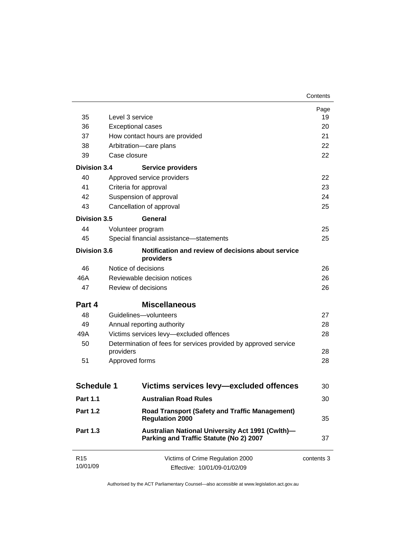| 35                          | Level 3 service                                                                             | Page<br>19 |
|-----------------------------|---------------------------------------------------------------------------------------------|------------|
| 36                          | <b>Exceptional cases</b>                                                                    | 20         |
| 37                          | How contact hours are provided                                                              | 21         |
| 38                          | Arbitration-care plans                                                                      | 22         |
| 39                          | Case closure                                                                                | 22         |
|                             |                                                                                             |            |
| <b>Division 3.4</b>         | <b>Service providers</b>                                                                    |            |
| 40                          | Approved service providers                                                                  | 22         |
| 41                          | Criteria for approval                                                                       | 23         |
| 42                          | Suspension of approval                                                                      | 24         |
| 43                          | Cancellation of approval                                                                    | 25         |
| <b>Division 3.5</b>         | General                                                                                     |            |
| 44                          | Volunteer program                                                                           | 25         |
| 45                          | Special financial assistance-statements                                                     | 25         |
| <b>Division 3.6</b>         | Notification and review of decisions about service<br>providers                             |            |
| 46                          | Notice of decisions                                                                         | 26         |
| 46A                         | Reviewable decision notices                                                                 |            |
| 47                          | Review of decisions                                                                         |            |
| Part 4                      | <b>Miscellaneous</b>                                                                        |            |
| 48                          | Guidelines-volunteers                                                                       | 27         |
| 49                          | Annual reporting authority                                                                  |            |
| 49A                         | Victims services levy-excluded offences                                                     |            |
| 50                          | Determination of fees for services provided by approved service<br>providers                |            |
| 51                          | Approved forms                                                                              |            |
|                             |                                                                                             | 28         |
| <b>Schedule 1</b>           | Victims services levy-excluded offences                                                     | 30         |
| <b>Part 1.1</b>             | <b>Australian Road Rules</b>                                                                | 30         |
| <b>Part 1.2</b>             | <b>Road Transport (Safety and Traffic Management)</b><br><b>Regulation 2000</b>             | 35         |
| <b>Part 1.3</b>             | Australian National University Act 1991 (Cwlth)-<br>Parking and Traffic Statute (No 2) 2007 | 37         |
| R <sub>15</sub><br>10/01/09 | Victims of Crime Regulation 2000<br>Effective: 10/01/09-01/02/09                            | contents 3 |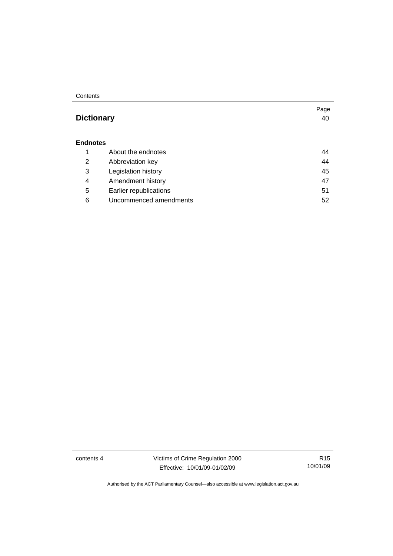#### **Contents**

# **Dictionary** [40](#page-45-0)

#### **Endnotes**

|   | About the endnotes     | 44 |
|---|------------------------|----|
| 2 | Abbreviation key       | 44 |
| 3 | Legislation history    | 45 |
| 4 | Amendment history      | 47 |
| 5 | Earlier republications | 51 |
| 6 | Uncommenced amendments | 52 |

contents 4 Victims of Crime Regulation 2000 Effective: 10/01/09-01/02/09

R15 10/01/09

Page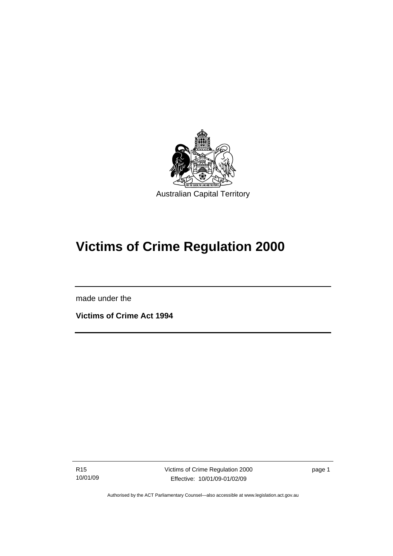<span id="page-6-0"></span>

# **Victims of Crime Regulation 2000**

made under the

I

**Victims of Crime Act 1994** 

R15 10/01/09 Victims of Crime Regulation 2000 Effective: 10/01/09-01/02/09

page 1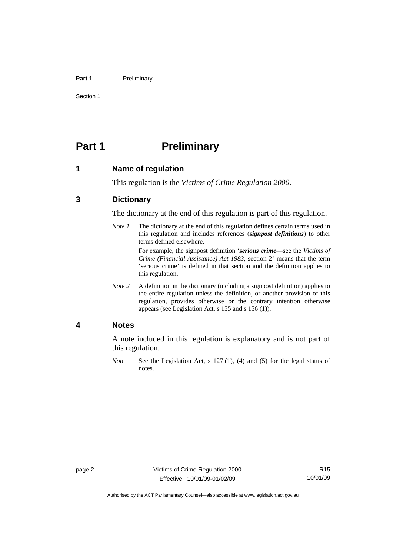#### <span id="page-7-0"></span>Part 1 **Preliminary**

Section 1

# **Part 1** Preliminary

#### **1 Name of regulation**

This regulation is the *Victims of Crime Regulation 2000*.

### **3 Dictionary**

The dictionary at the end of this regulation is part of this regulation.

*Note 1* The dictionary at the end of this regulation defines certain terms used in this regulation and includes references (*signpost definitions*) to other terms defined elsewhere.

> For example, the signpost definition '*serious crime*—see the *Victims of Crime (Financial Assistance) Act 1983*, section 2' means that the term 'serious crime' is defined in that section and the definition applies to this regulation.

*Note 2* A definition in the dictionary (including a signpost definition) applies to the entire regulation unless the definition, or another provision of this regulation, provides otherwise or the contrary intention otherwise appears (see Legislation Act, s 155 and s 156 (1)).

#### **4 Notes**

A note included in this regulation is explanatory and is not part of this regulation.

*Note* See the Legislation Act, s 127 (1), (4) and (5) for the legal status of notes.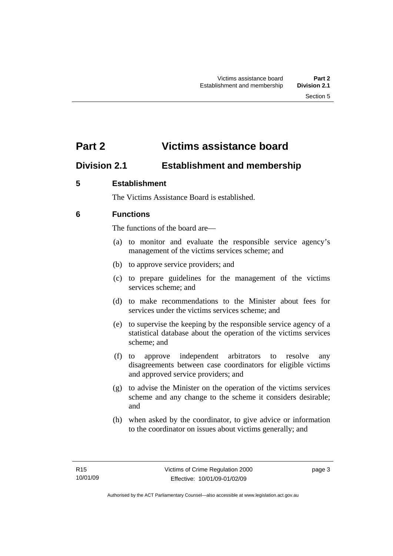# <span id="page-8-0"></span>**Part 2 Victims assistance board**

# **Division 2.1 Establishment and membership**

# **5 Establishment**

The Victims Assistance Board is established.

# **6 Functions**

The functions of the board are—

- (a) to monitor and evaluate the responsible service agency's management of the victims services scheme; and
- (b) to approve service providers; and
- (c) to prepare guidelines for the management of the victims services scheme; and
- (d) to make recommendations to the Minister about fees for services under the victims services scheme; and
- (e) to supervise the keeping by the responsible service agency of a statistical database about the operation of the victims services scheme; and
- (f) to approve independent arbitrators to resolve any disagreements between case coordinators for eligible victims and approved service providers; and
- (g) to advise the Minister on the operation of the victims services scheme and any change to the scheme it considers desirable; and
- (h) when asked by the coordinator, to give advice or information to the coordinator on issues about victims generally; and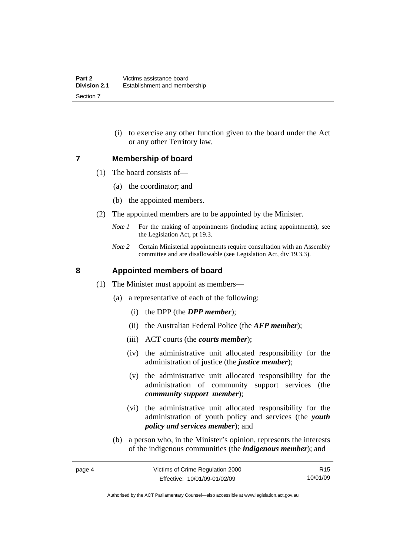(i) to exercise any other function given to the board under the Act or any other Territory law.

#### <span id="page-9-0"></span>**7 Membership of board**

- (1) The board consists of—
	- (a) the coordinator; and
	- (b) the appointed members.
- (2) The appointed members are to be appointed by the Minister.
	- *Note 1* For the making of appointments (including acting appointments), see the Legislation Act, pt 19.3.
	- *Note 2* Certain Ministerial appointments require consultation with an Assembly committee and are disallowable (see Legislation Act, div 19.3.3).

### **8 Appointed members of board**

- (1) The Minister must appoint as members—
	- (a) a representative of each of the following:
		- (i) the DPP (the *DPP member*);
		- (ii) the Australian Federal Police (the *AFP member*);
		- (iii) ACT courts (the *courts member*);
		- (iv) the administrative unit allocated responsibility for the administration of justice (the *justice member*);
		- (v) the administrative unit allocated responsibility for the administration of community support services (the *community support member*);
		- (vi) the administrative unit allocated responsibility for the administration of youth policy and services (the *youth policy and services member*); and
	- (b) a person who, in the Minister's opinion, represents the interests of the indigenous communities (the *indigenous member*); and

R15 10/01/09

Authorised by the ACT Parliamentary Counsel—also accessible at www.legislation.act.gov.au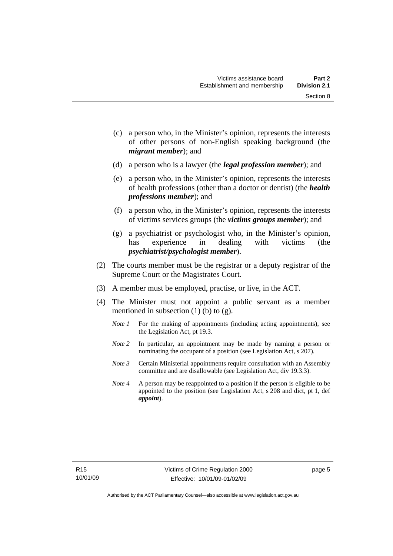Section 8

- (c) a person who, in the Minister's opinion, represents the interests of other persons of non-English speaking background (the
- (d) a person who is a lawyer (the *legal profession member*); and

*migrant member*); and

- (e) a person who, in the Minister's opinion, represents the interests of health professions (other than a doctor or dentist) (the *health professions member*); and
- (f) a person who, in the Minister's opinion, represents the interests of victims services groups (the *victims groups member*); and
- (g) a psychiatrist or psychologist who, in the Minister's opinion, has experience in dealing with victims (the *psychiatrist/psychologist member*).
- (2) The courts member must be the registrar or a deputy registrar of the Supreme Court or the Magistrates Court.
- (3) A member must be employed, practise, or live, in the ACT.
- (4) The Minister must not appoint a public servant as a member mentioned in subsection  $(1)$  (b) to  $(g)$ .
	- *Note 1* For the making of appointments (including acting appointments), see the Legislation Act, pt 19.3.
	- *Note 2* In particular, an appointment may be made by naming a person or nominating the occupant of a position (see Legislation Act, s 207).
	- *Note 3* Certain Ministerial appointments require consultation with an Assembly committee and are disallowable (see Legislation Act, div 19.3.3).
	- *Note 4* A person may be reappointed to a position if the person is eligible to be appointed to the position (see Legislation Act, s 208 and dict, pt 1, def *appoint*).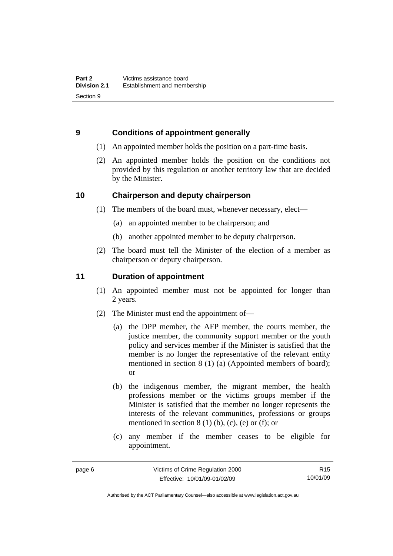# <span id="page-11-0"></span>**9 Conditions of appointment generally**

- (1) An appointed member holds the position on a part-time basis.
- (2) An appointed member holds the position on the conditions not provided by this regulation or another territory law that are decided by the Minister.

# **10 Chairperson and deputy chairperson**

- (1) The members of the board must, whenever necessary, elect—
	- (a) an appointed member to be chairperson; and
	- (b) another appointed member to be deputy chairperson.
- (2) The board must tell the Minister of the election of a member as chairperson or deputy chairperson.

# **11 Duration of appointment**

- (1) An appointed member must not be appointed for longer than 2 years.
- (2) The Minister must end the appointment of—
	- (a) the DPP member, the AFP member, the courts member, the justice member, the community support member or the youth policy and services member if the Minister is satisfied that the member is no longer the representative of the relevant entity mentioned in section 8 (1) (a) (Appointed members of board); or
	- (b) the indigenous member, the migrant member, the health professions member or the victims groups member if the Minister is satisfied that the member no longer represents the interests of the relevant communities, professions or groups mentioned in section  $8(1)$  (b), (c), (e) or (f); or
	- (c) any member if the member ceases to be eligible for appointment.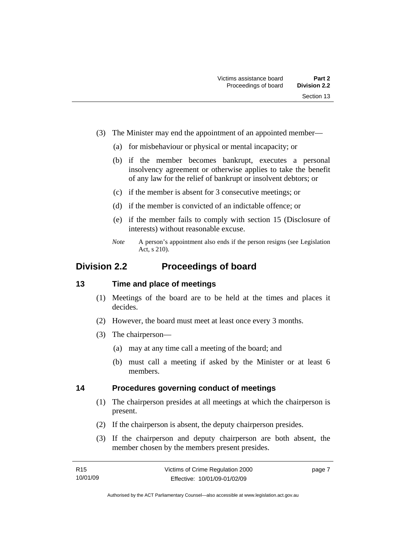- <span id="page-12-0"></span> (3) The Minister may end the appointment of an appointed member—
	- (a) for misbehaviour or physical or mental incapacity; or
	- (b) if the member becomes bankrupt, executes a personal insolvency agreement or otherwise applies to take the benefit of any law for the relief of bankrupt or insolvent debtors; or
	- (c) if the member is absent for 3 consecutive meetings; or
	- (d) if the member is convicted of an indictable offence; or
	- (e) if the member fails to comply with section 15 (Disclosure of interests) without reasonable excuse.
	- *Note* A person's appointment also ends if the person resigns (see Legislation Act, s 210).

# **Division 2.2 Proceedings of board**

#### **13 Time and place of meetings**

- (1) Meetings of the board are to be held at the times and places it decides.
- (2) However, the board must meet at least once every 3 months.
- (3) The chairperson—
	- (a) may at any time call a meeting of the board; and
	- (b) must call a meeting if asked by the Minister or at least 6 members.

#### **14 Procedures governing conduct of meetings**

- (1) The chairperson presides at all meetings at which the chairperson is present.
- (2) If the chairperson is absent, the deputy chairperson presides.
- (3) If the chairperson and deputy chairperson are both absent, the member chosen by the members present presides.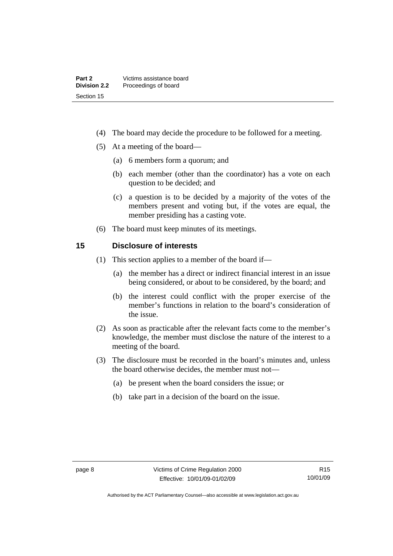- <span id="page-13-0"></span>(4) The board may decide the procedure to be followed for a meeting.
- (5) At a meeting of the board—
	- (a) 6 members form a quorum; and
	- (b) each member (other than the coordinator) has a vote on each question to be decided; and
	- (c) a question is to be decided by a majority of the votes of the members present and voting but, if the votes are equal, the member presiding has a casting vote.
- (6) The board must keep minutes of its meetings.

#### **15 Disclosure of interests**

- (1) This section applies to a member of the board if—
	- (a) the member has a direct or indirect financial interest in an issue being considered, or about to be considered, by the board; and
	- (b) the interest could conflict with the proper exercise of the member's functions in relation to the board's consideration of the issue.
- (2) As soon as practicable after the relevant facts come to the member's knowledge, the member must disclose the nature of the interest to a meeting of the board.
- (3) The disclosure must be recorded in the board's minutes and, unless the board otherwise decides, the member must not—
	- (a) be present when the board considers the issue; or
	- (b) take part in a decision of the board on the issue.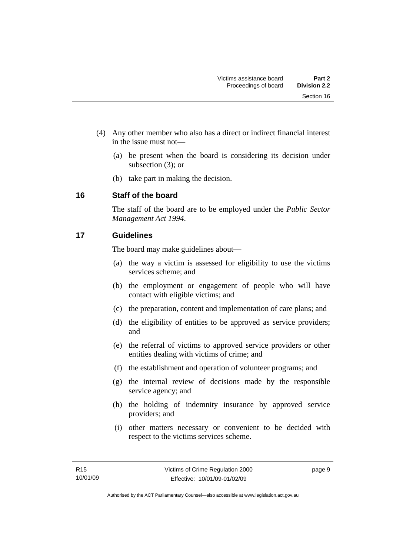- <span id="page-14-0"></span> (4) Any other member who also has a direct or indirect financial interest in the issue must not—
	- (a) be present when the board is considering its decision under subsection (3); or
	- (b) take part in making the decision.

# **16 Staff of the board**

The staff of the board are to be employed under the *Public Sector Management Act 1994*.

# **17 Guidelines**

The board may make guidelines about—

- (a) the way a victim is assessed for eligibility to use the victims services scheme; and
- (b) the employment or engagement of people who will have contact with eligible victims; and
- (c) the preparation, content and implementation of care plans; and
- (d) the eligibility of entities to be approved as service providers; and
- (e) the referral of victims to approved service providers or other entities dealing with victims of crime; and
- (f) the establishment and operation of volunteer programs; and
- (g) the internal review of decisions made by the responsible service agency; and
- (h) the holding of indemnity insurance by approved service providers; and
- (i) other matters necessary or convenient to be decided with respect to the victims services scheme.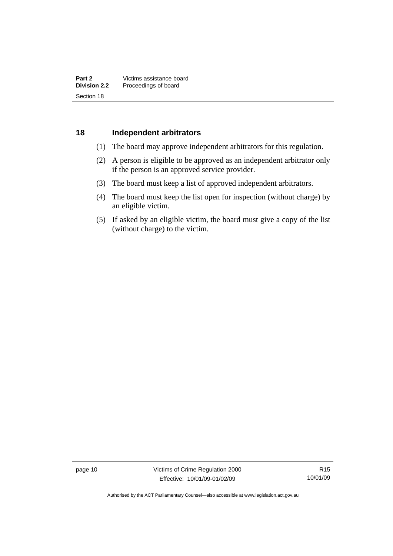#### <span id="page-15-0"></span>**18 Independent arbitrators**

- (1) The board may approve independent arbitrators for this regulation.
- (2) A person is eligible to be approved as an independent arbitrator only if the person is an approved service provider.
- (3) The board must keep a list of approved independent arbitrators.
- (4) The board must keep the list open for inspection (without charge) by an eligible victim.
- (5) If asked by an eligible victim, the board must give a copy of the list (without charge) to the victim.

page 10 Victims of Crime Regulation 2000 Effective: 10/01/09-01/02/09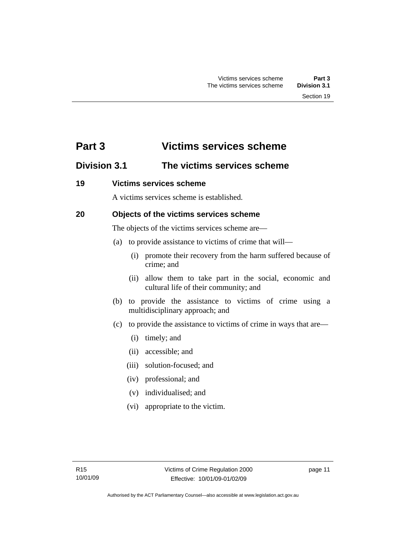# <span id="page-16-0"></span>**Part 3 Victims services scheme**

# **Division 3.1 The victims services scheme**

## **19 Victims services scheme**

A victims services scheme is established.

# **20 Objects of the victims services scheme**

The objects of the victims services scheme are—

- (a) to provide assistance to victims of crime that will—
	- (i) promote their recovery from the harm suffered because of crime; and
	- (ii) allow them to take part in the social, economic and cultural life of their community; and
- (b) to provide the assistance to victims of crime using a multidisciplinary approach; and
- (c) to provide the assistance to victims of crime in ways that are—
	- (i) timely; and
	- (ii) accessible; and
	- (iii) solution-focused; and
	- (iv) professional; and
	- (v) individualised; and
	- (vi) appropriate to the victim.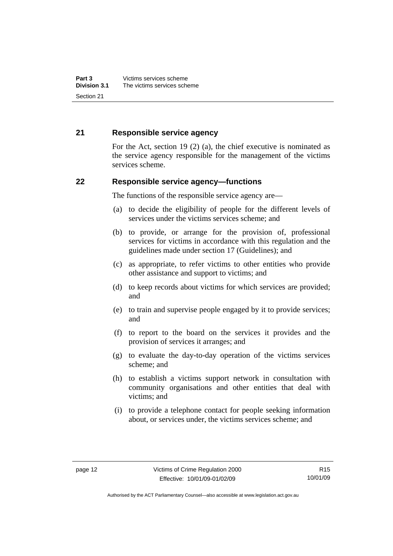## <span id="page-17-0"></span>**21 Responsible service agency**

For the Act, section 19 (2) (a), the chief executive is nominated as the service agency responsible for the management of the victims services scheme.

#### **22 Responsible service agency—functions**

The functions of the responsible service agency are—

- (a) to decide the eligibility of people for the different levels of services under the victims services scheme; and
- (b) to provide, or arrange for the provision of, professional services for victims in accordance with this regulation and the guidelines made under section 17 (Guidelines); and
- (c) as appropriate, to refer victims to other entities who provide other assistance and support to victims; and
- (d) to keep records about victims for which services are provided; and
- (e) to train and supervise people engaged by it to provide services; and
- (f) to report to the board on the services it provides and the provision of services it arranges; and
- (g) to evaluate the day-to-day operation of the victims services scheme; and
- (h) to establish a victims support network in consultation with community organisations and other entities that deal with victims; and
- (i) to provide a telephone contact for people seeking information about, or services under, the victims services scheme; and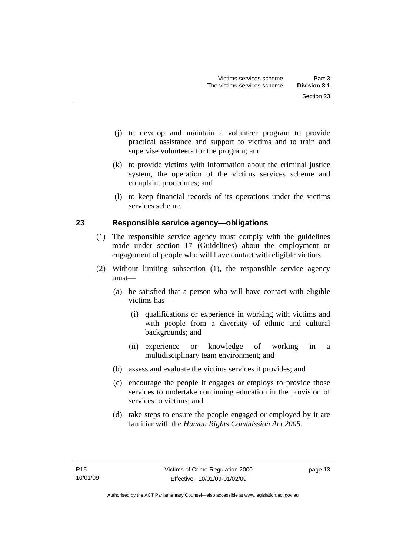- <span id="page-18-0"></span> (j) to develop and maintain a volunteer program to provide practical assistance and support to victims and to train and supervise volunteers for the program; and
- (k) to provide victims with information about the criminal justice system, the operation of the victims services scheme and complaint procedures; and
- (l) to keep financial records of its operations under the victims services scheme.

# **23 Responsible service agency—obligations**

- (1) The responsible service agency must comply with the guidelines made under section 17 (Guidelines) about the employment or engagement of people who will have contact with eligible victims.
- (2) Without limiting subsection (1), the responsible service agency must—
	- (a) be satisfied that a person who will have contact with eligible victims has—
		- (i) qualifications or experience in working with victims and with people from a diversity of ethnic and cultural backgrounds; and
		- (ii) experience or knowledge of working in a multidisciplinary team environment; and
	- (b) assess and evaluate the victims services it provides; and
	- (c) encourage the people it engages or employs to provide those services to undertake continuing education in the provision of services to victims; and
	- (d) take steps to ensure the people engaged or employed by it are familiar with the *Human Rights Commission Act 2005*.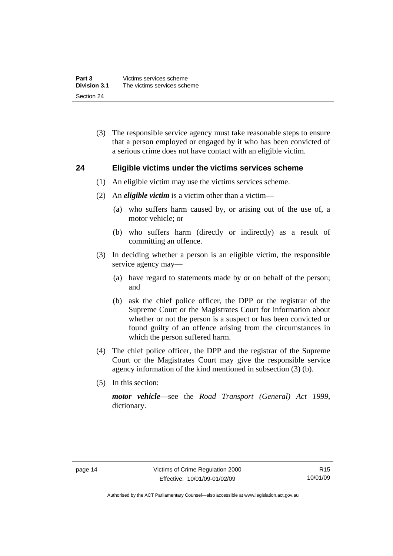<span id="page-19-0"></span> (3) The responsible service agency must take reasonable steps to ensure that a person employed or engaged by it who has been convicted of a serious crime does not have contact with an eligible victim.

#### **24 Eligible victims under the victims services scheme**

- (1) An eligible victim may use the victims services scheme.
- (2) An *eligible victim* is a victim other than a victim—
	- (a) who suffers harm caused by, or arising out of the use of, a motor vehicle; or
	- (b) who suffers harm (directly or indirectly) as a result of committing an offence.
- (3) In deciding whether a person is an eligible victim, the responsible service agency may—
	- (a) have regard to statements made by or on behalf of the person; and
	- (b) ask the chief police officer, the DPP or the registrar of the Supreme Court or the Magistrates Court for information about whether or not the person is a suspect or has been convicted or found guilty of an offence arising from the circumstances in which the person suffered harm.
- (4) The chief police officer, the DPP and the registrar of the Supreme Court or the Magistrates Court may give the responsible service agency information of the kind mentioned in subsection (3) (b).
- (5) In this section:

*motor vehicle*—see the *Road Transport (General) Act 1999*, dictionary.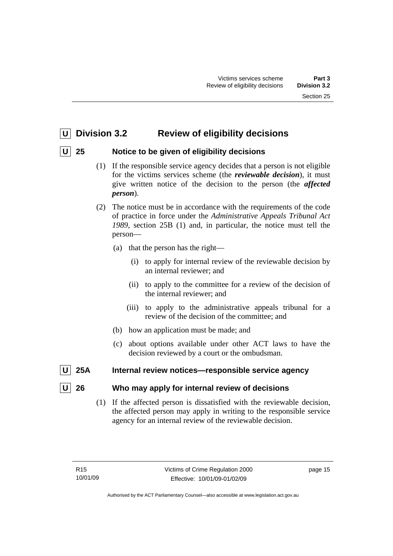# <span id="page-20-0"></span> **U Division 3.2 Review of eligibility decisions**

# **U 25 Notice to be given of eligibility decisions**

- (1) If the responsible service agency decides that a person is not eligible for the victims services scheme (the *reviewable decision*), it must give written notice of the decision to the person (the *affected person*).
- (2) The notice must be in accordance with the requirements of the code of practice in force under the *Administrative Appeals Tribunal Act 1989*, section 25B (1) and, in particular, the notice must tell the person—
	- (a) that the person has the right—
		- (i) to apply for internal review of the reviewable decision by an internal reviewer; and
		- (ii) to apply to the committee for a review of the decision of the internal reviewer; and
		- (iii) to apply to the administrative appeals tribunal for a review of the decision of the committee; and
	- (b) how an application must be made; and
	- (c) about options available under other ACT laws to have the decision reviewed by a court or the ombudsman.
- **25A** Internal review notices—responsible service agency

# **26** Who may apply for internal review of decisions

 (1) If the affected person is dissatisfied with the reviewable decision, the affected person may apply in writing to the responsible service agency for an internal review of the reviewable decision.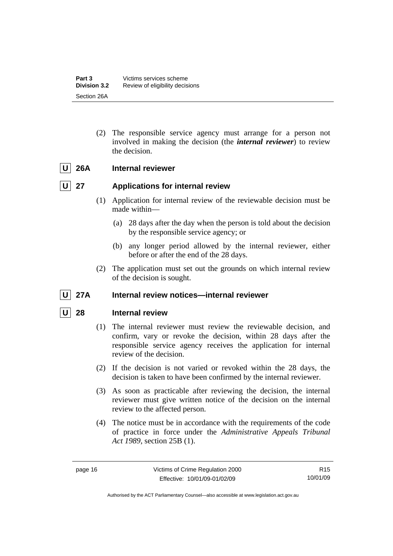<span id="page-21-0"></span> (2) The responsible service agency must arrange for a person not involved in making the decision (the *internal reviewer*) to review the decision.

# U 26A Internal reviewer

# **U** 27 Applications for internal review

- (1) Application for internal review of the reviewable decision must be made within—
	- (a) 28 days after the day when the person is told about the decision by the responsible service agency; or
	- (b) any longer period allowed by the internal reviewer, either before or after the end of the 28 days.
- (2) The application must set out the grounds on which internal review of the decision is sought.

# U 27A Internal review notices—internal reviewer

# **28** Internal review

- (1) The internal reviewer must review the reviewable decision, and confirm, vary or revoke the decision, within 28 days after the responsible service agency receives the application for internal review of the decision.
- (2) If the decision is not varied or revoked within the 28 days, the decision is taken to have been confirmed by the internal reviewer.
- (3) As soon as practicable after reviewing the decision, the internal reviewer must give written notice of the decision on the internal review to the affected person.
- (4) The notice must be in accordance with the requirements of the code of practice in force under the *Administrative Appeals Tribunal Act 1989*, section 25B (1).

Authorised by the ACT Parliamentary Counsel—also accessible at www.legislation.act.gov.au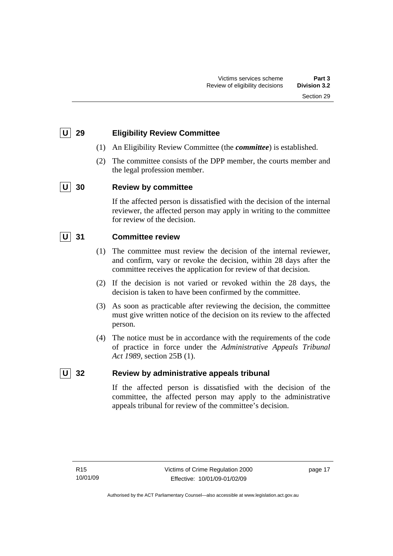# <span id="page-22-0"></span> **U 29 Eligibility Review Committee**

- (1) An Eligibility Review Committee (the *committee*) is established.
- (2) The committee consists of the DPP member, the courts member and the legal profession member.

# **U 30 Review by committee**

If the affected person is dissatisfied with the decision of the internal reviewer, the affected person may apply in writing to the committee for review of the decision.

# **U 31 Committee review**

- (1) The committee must review the decision of the internal reviewer, and confirm, vary or revoke the decision, within 28 days after the committee receives the application for review of that decision.
- (2) If the decision is not varied or revoked within the 28 days, the decision is taken to have been confirmed by the committee.
- (3) As soon as practicable after reviewing the decision, the committee must give written notice of the decision on its review to the affected person.
- (4) The notice must be in accordance with the requirements of the code of practice in force under the *Administrative Appeals Tribunal Act 1989*, section 25B (1).

# **U** 32 Review by administrative appeals tribunal

If the affected person is dissatisfied with the decision of the committee, the affected person may apply to the administrative appeals tribunal for review of the committee's decision.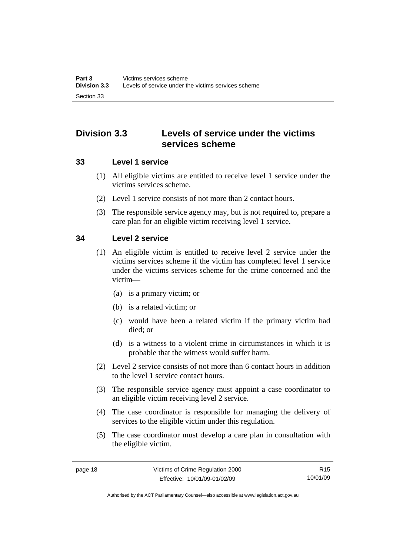# <span id="page-23-0"></span>**Division 3.3 Levels of service under the victims services scheme**

## **33 Level 1 service**

- (1) All eligible victims are entitled to receive level 1 service under the victims services scheme.
- (2) Level 1 service consists of not more than 2 contact hours.
- (3) The responsible service agency may, but is not required to, prepare a care plan for an eligible victim receiving level 1 service.

# **34 Level 2 service**

- (1) An eligible victim is entitled to receive level 2 service under the victims services scheme if the victim has completed level 1 service under the victims services scheme for the crime concerned and the victim—
	- (a) is a primary victim; or
	- (b) is a related victim; or
	- (c) would have been a related victim if the primary victim had died; or
	- (d) is a witness to a violent crime in circumstances in which it is probable that the witness would suffer harm.
- (2) Level 2 service consists of not more than 6 contact hours in addition to the level 1 service contact hours.
- (3) The responsible service agency must appoint a case coordinator to an eligible victim receiving level 2 service.
- (4) The case coordinator is responsible for managing the delivery of services to the eligible victim under this regulation.
- (5) The case coordinator must develop a care plan in consultation with the eligible victim.

R15 10/01/09

Authorised by the ACT Parliamentary Counsel—also accessible at www.legislation.act.gov.au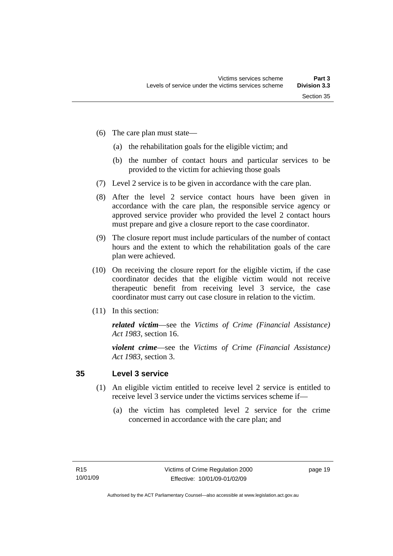- <span id="page-24-0"></span> (6) The care plan must state—
	- (a) the rehabilitation goals for the eligible victim; and
	- (b) the number of contact hours and particular services to be provided to the victim for achieving those goals
- (7) Level 2 service is to be given in accordance with the care plan.
- (8) After the level 2 service contact hours have been given in accordance with the care plan, the responsible service agency or approved service provider who provided the level 2 contact hours must prepare and give a closure report to the case coordinator.
- (9) The closure report must include particulars of the number of contact hours and the extent to which the rehabilitation goals of the care plan were achieved.
- (10) On receiving the closure report for the eligible victim, if the case coordinator decides that the eligible victim would not receive therapeutic benefit from receiving level 3 service, the case coordinator must carry out case closure in relation to the victim.
- (11) In this section:

*related victim*—see the *Victims of Crime (Financial Assistance) Act 1983*, section 16.

*violent crime*—see the *Victims of Crime (Financial Assistance) Act 1983*, section 3.

## **35 Level 3 service**

- (1) An eligible victim entitled to receive level 2 service is entitled to receive level 3 service under the victims services scheme if—
	- (a) the victim has completed level 2 service for the crime concerned in accordance with the care plan; and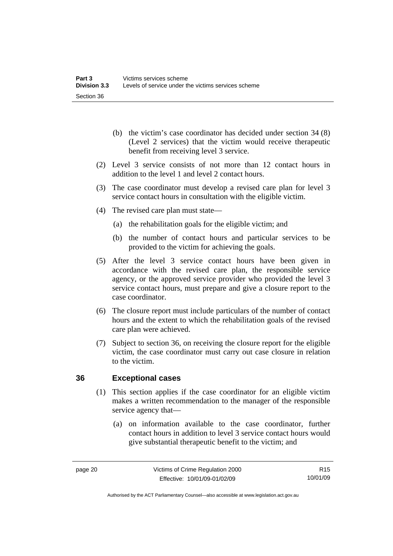- <span id="page-25-0"></span> (b) the victim's case coordinator has decided under section 34 (8) (Level 2 services) that the victim would receive therapeutic benefit from receiving level 3 service.
- (2) Level 3 service consists of not more than 12 contact hours in addition to the level 1 and level 2 contact hours.
- (3) The case coordinator must develop a revised care plan for level 3 service contact hours in consultation with the eligible victim.
- (4) The revised care plan must state—
	- (a) the rehabilitation goals for the eligible victim; and
	- (b) the number of contact hours and particular services to be provided to the victim for achieving the goals.
- (5) After the level 3 service contact hours have been given in accordance with the revised care plan, the responsible service agency, or the approved service provider who provided the level 3 service contact hours, must prepare and give a closure report to the case coordinator.
- (6) The closure report must include particulars of the number of contact hours and the extent to which the rehabilitation goals of the revised care plan were achieved.
- (7) Subject to section 36, on receiving the closure report for the eligible victim, the case coordinator must carry out case closure in relation to the victim.

# **36 Exceptional cases**

- (1) This section applies if the case coordinator for an eligible victim makes a written recommendation to the manager of the responsible service agency that—
	- (a) on information available to the case coordinator, further contact hours in addition to level 3 service contact hours would give substantial therapeutic benefit to the victim; and

R15 10/01/09

Authorised by the ACT Parliamentary Counsel—also accessible at www.legislation.act.gov.au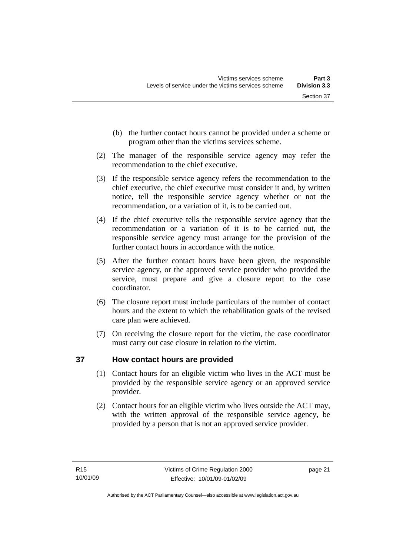- <span id="page-26-0"></span> (b) the further contact hours cannot be provided under a scheme or program other than the victims services scheme.
- (2) The manager of the responsible service agency may refer the recommendation to the chief executive.
- (3) If the responsible service agency refers the recommendation to the chief executive, the chief executive must consider it and, by written notice, tell the responsible service agency whether or not the recommendation, or a variation of it, is to be carried out.
- (4) If the chief executive tells the responsible service agency that the recommendation or a variation of it is to be carried out, the responsible service agency must arrange for the provision of the further contact hours in accordance with the notice.
- (5) After the further contact hours have been given, the responsible service agency, or the approved service provider who provided the service, must prepare and give a closure report to the case coordinator.
- (6) The closure report must include particulars of the number of contact hours and the extent to which the rehabilitation goals of the revised care plan were achieved.
- (7) On receiving the closure report for the victim, the case coordinator must carry out case closure in relation to the victim.

# **37 How contact hours are provided**

- (1) Contact hours for an eligible victim who lives in the ACT must be provided by the responsible service agency or an approved service provider.
- (2) Contact hours for an eligible victim who lives outside the ACT may, with the written approval of the responsible service agency, be provided by a person that is not an approved service provider.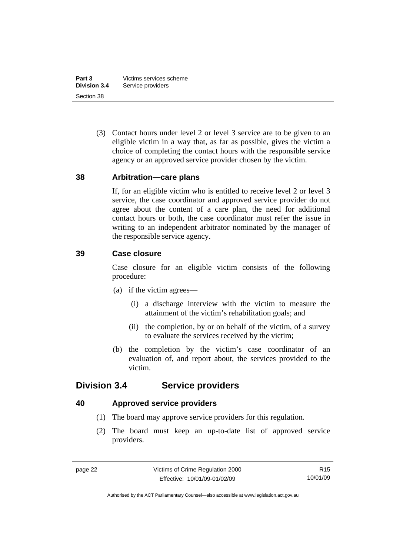<span id="page-27-0"></span> (3) Contact hours under level 2 or level 3 service are to be given to an eligible victim in a way that, as far as possible, gives the victim a choice of completing the contact hours with the responsible service agency or an approved service provider chosen by the victim.

#### **38 Arbitration—care plans**

If, for an eligible victim who is entitled to receive level 2 or level 3 service, the case coordinator and approved service provider do not agree about the content of a care plan, the need for additional contact hours or both, the case coordinator must refer the issue in writing to an independent arbitrator nominated by the manager of the responsible service agency.

## **39 Case closure**

Case closure for an eligible victim consists of the following procedure:

- (a) if the victim agrees—
	- (i) a discharge interview with the victim to measure the attainment of the victim's rehabilitation goals; and
	- (ii) the completion, by or on behalf of the victim, of a survey to evaluate the services received by the victim;
- (b) the completion by the victim's case coordinator of an evaluation of, and report about, the services provided to the victim.

# **Division 3.4 Service providers**

#### **40 Approved service providers**

- (1) The board may approve service providers for this regulation.
- (2) The board must keep an up-to-date list of approved service providers.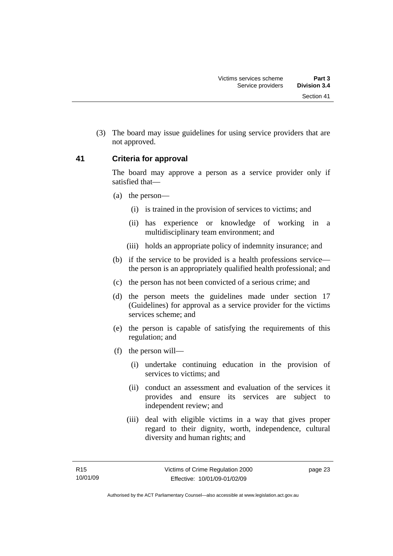<span id="page-28-0"></span> (3) The board may issue guidelines for using service providers that are not approved.

#### **41 Criteria for approval**

The board may approve a person as a service provider only if satisfied that—

- (a) the person—
	- (i) is trained in the provision of services to victims; and
	- (ii) has experience or knowledge of working in a multidisciplinary team environment; and
	- (iii) holds an appropriate policy of indemnity insurance; and
- (b) if the service to be provided is a health professions service the person is an appropriately qualified health professional; and
- (c) the person has not been convicted of a serious crime; and
- (d) the person meets the guidelines made under section 17 (Guidelines) for approval as a service provider for the victims services scheme; and
- (e) the person is capable of satisfying the requirements of this regulation; and
- (f) the person will—
	- (i) undertake continuing education in the provision of services to victims; and
	- (ii) conduct an assessment and evaluation of the services it provides and ensure its services are subject to independent review; and
	- (iii) deal with eligible victims in a way that gives proper regard to their dignity, worth, independence, cultural diversity and human rights; and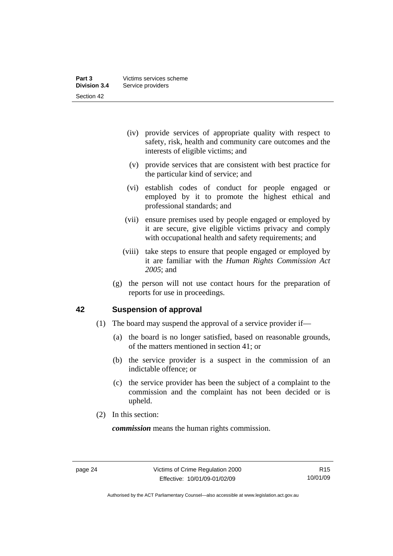- <span id="page-29-0"></span> (iv) provide services of appropriate quality with respect to safety, risk, health and community care outcomes and the interests of eligible victims; and
- (v) provide services that are consistent with best practice for the particular kind of service; and
- (vi) establish codes of conduct for people engaged or employed by it to promote the highest ethical and professional standards; and
- (vii) ensure premises used by people engaged or employed by it are secure, give eligible victims privacy and comply with occupational health and safety requirements; and
- (viii) take steps to ensure that people engaged or employed by it are familiar with the *Human Rights Commission Act 2005*; and
- (g) the person will not use contact hours for the preparation of reports for use in proceedings.

# **42 Suspension of approval**

- (1) The board may suspend the approval of a service provider if—
	- (a) the board is no longer satisfied, based on reasonable grounds, of the matters mentioned in section 41; or
	- (b) the service provider is a suspect in the commission of an indictable offence; or
	- (c) the service provider has been the subject of a complaint to the commission and the complaint has not been decided or is upheld.
- (2) In this section:

*commission* means the human rights commission.

Authorised by the ACT Parliamentary Counsel—also accessible at www.legislation.act.gov.au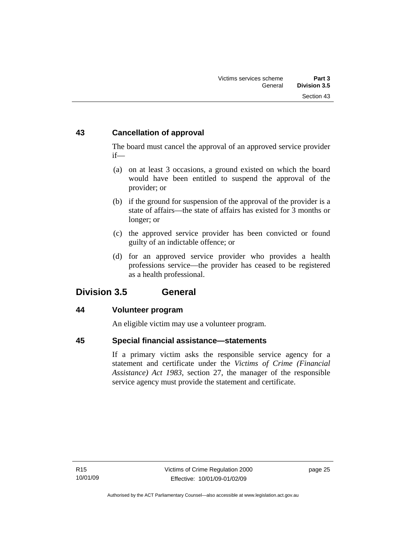# <span id="page-30-0"></span>**43 Cancellation of approval**

The board must cancel the approval of an approved service provider if—

- (a) on at least 3 occasions, a ground existed on which the board would have been entitled to suspend the approval of the provider; or
- (b) if the ground for suspension of the approval of the provider is a state of affairs—the state of affairs has existed for 3 months or longer; or
- (c) the approved service provider has been convicted or found guilty of an indictable offence; or
- (d) for an approved service provider who provides a health professions service—the provider has ceased to be registered as a health professional.

# **Division 3.5 General**

# **44 Volunteer program**

An eligible victim may use a volunteer program.

# **45 Special financial assistance—statements**

If a primary victim asks the responsible service agency for a statement and certificate under the *Victims of Crime (Financial Assistance) Act 1983*, section 27, the manager of the responsible service agency must provide the statement and certificate.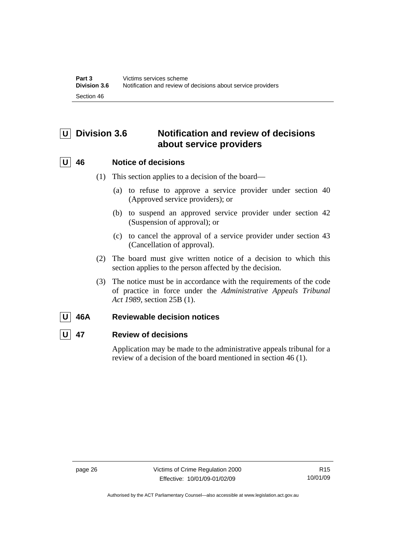# <span id="page-31-0"></span>**U Division 3.6 Notification and review of decisions about service providers**

# **U 46 Notice of decisions**

- (1) This section applies to a decision of the board—
	- (a) to refuse to approve a service provider under section 40 (Approved service providers); or
	- (b) to suspend an approved service provider under section 42 (Suspension of approval); or
	- (c) to cancel the approval of a service provider under section 43 (Cancellation of approval).
- (2) The board must give written notice of a decision to which this section applies to the person affected by the decision.
- (3) The notice must be in accordance with the requirements of the code of practice in force under the *Administrative Appeals Tribunal Act 1989*, section 25B (1).

# **U 46A Reviewable decision notices**

# **U 47 Review of decisions**

Application may be made to the administrative appeals tribunal for a review of a decision of the board mentioned in section 46 (1).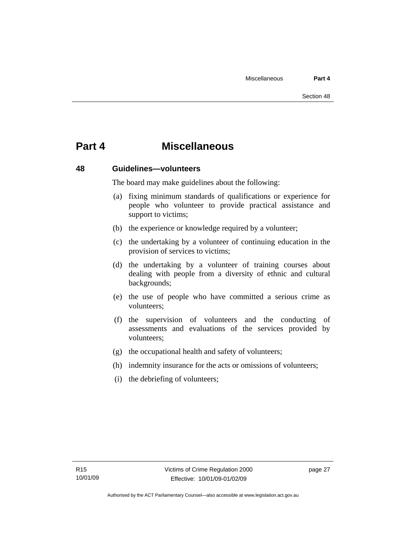# <span id="page-32-0"></span>**Part 4 Miscellaneous**

#### **48 Guidelines—volunteers**

The board may make guidelines about the following:

- (a) fixing minimum standards of qualifications or experience for people who volunteer to provide practical assistance and support to victims:
- (b) the experience or knowledge required by a volunteer;
- (c) the undertaking by a volunteer of continuing education in the provision of services to victims;
- (d) the undertaking by a volunteer of training courses about dealing with people from a diversity of ethnic and cultural backgrounds;
- (e) the use of people who have committed a serious crime as volunteers;
- (f) the supervision of volunteers and the conducting of assessments and evaluations of the services provided by volunteers;
- (g) the occupational health and safety of volunteers;
- (h) indemnity insurance for the acts or omissions of volunteers;
- (i) the debriefing of volunteers;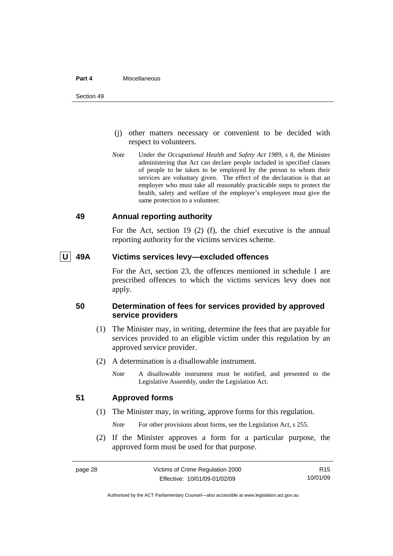#### <span id="page-33-0"></span>**Part 4** Miscellaneous

- (j) other matters necessary or convenient to be decided with respect to volunteers.
- *Note* Under the *Occupational Health and Safety Act 1989*, s 8, the Minister administering that Act can declare people included in specified classes of people to be taken to be employed by the person to whom their services are voluntary given. The effect of the declaration is that an employer who must take all reasonably practicable steps to protect the health, safety and welfare of the employer's employees must give the same protection to a volunteer.

#### **49 Annual reporting authority**

For the Act, section 19 (2) (f), the chief executive is the annual reporting authority for the victims services scheme.

### **U 49A Victims services levy—excluded offences**

For the Act, section 23, the offences mentioned in schedule 1 are prescribed offences to which the victims services levy does not apply.

#### **50 Determination of fees for services provided by approved service providers**

- (1) The Minister may, in writing, determine the fees that are payable for services provided to an eligible victim under this regulation by an approved service provider.
- (2) A determination is a disallowable instrument.
	- *Note* A disallowable instrument must be notified, and presented to the Legislative Assembly, under the Legislation Act.

#### **51 Approved forms**

(1) The Minister may, in writing, approve forms for this regulation.

*Note* For other provisions about forms, see the Legislation Act, s 255.

 (2) If the Minister approves a form for a particular purpose, the approved form must be used for that purpose.

R15 10/01/09

Authorised by the ACT Parliamentary Counsel—also accessible at www.legislation.act.gov.au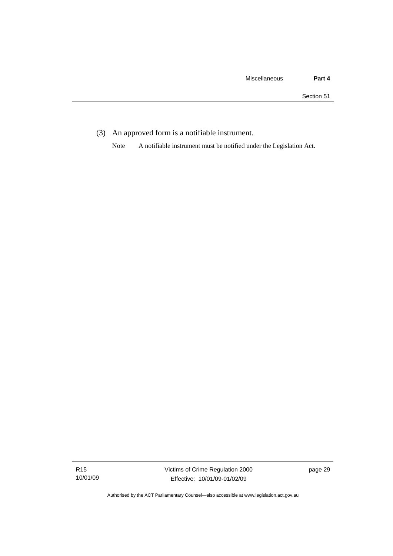(3) An approved form is a notifiable instrument.

Note A notifiable instrument must be notified under the Legislation Act.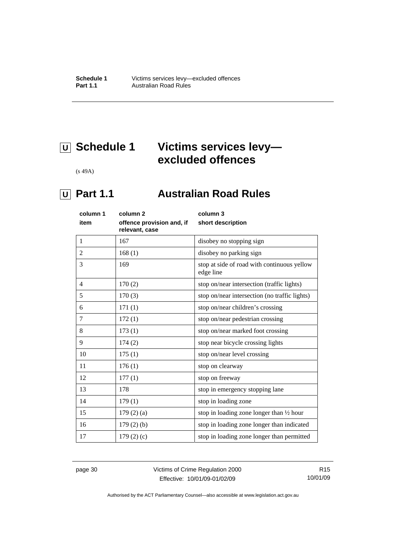# <span id="page-35-0"></span> **U Schedule 1 Victims services levy excluded offences**

(s 49A)

# *<u>U</u>* Part 1.1 **Australian Road Rules**

| column 1     | column <sub>2</sub>                         | column 3                                                 |
|--------------|---------------------------------------------|----------------------------------------------------------|
| item         | offence provision and, if<br>relevant, case | short description                                        |
| $\mathbf{1}$ | 167                                         | disobey no stopping sign                                 |
| 2            | 168(1)                                      | disobey no parking sign                                  |
| 3            | 169                                         | stop at side of road with continuous yellow<br>edge line |
| 4            | 170(2)                                      | stop on/near intersection (traffic lights)               |
| 5            | 170(3)                                      | stop on/near intersection (no traffic lights)            |
| 6            | 171(1)                                      | stop on/near children's crossing                         |
| 7            | 172(1)                                      | stop on/near pedestrian crossing                         |
| 8            | 173(1)                                      | stop on/near marked foot crossing                        |
| 9            | 174(2)                                      | stop near bicycle crossing lights                        |
| 10           | 175(1)                                      | stop on/near level crossing                              |
| 11           | 176(1)                                      | stop on clearway                                         |
| 12           | 177(1)                                      | stop on freeway                                          |
| 13           | 178                                         | stop in emergency stopping lane                          |
| 14           | 179(1)                                      | stop in loading zone                                     |
| 15           | 179(2)(a)                                   | stop in loading zone longer than $\frac{1}{2}$ hour      |
| 16           | $179(2)$ (b)                                | stop in loading zone longer than indicated               |
| 17           | 179(2)(c)                                   | stop in loading zone longer than permitted               |

page 30 Victims of Crime Regulation 2000 Effective: 10/01/09-01/02/09

R15 10/01/09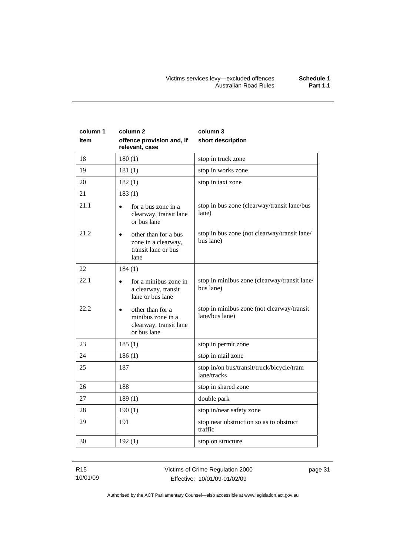| column 1<br>item | column <sub>2</sub><br>offence provision and, if<br>relevant, case             | column 3<br>short description                                |
|------------------|--------------------------------------------------------------------------------|--------------------------------------------------------------|
| 18               | 180(1)                                                                         | stop in truck zone                                           |
| 19               | 181(1)                                                                         | stop in works zone                                           |
| 20               | 182(1)                                                                         | stop in taxi zone                                            |
| 21               | 183(1)                                                                         |                                                              |
| 21.1             | for a bus zone in a<br>clearway, transit lane<br>or bus lane                   | stop in bus zone (clearway/transit lane/bus<br>lane)         |
| 21.2             | other than for a bus<br>zone in a clearway,<br>transit lane or bus<br>lane     | stop in bus zone (not clearway/transit lane/<br>bus lane)    |
| 22               | 184(1)                                                                         |                                                              |
| 22.1             | for a minibus zone in<br>a clearway, transit<br>lane or bus lane               | stop in minibus zone (clearway/transit lane/<br>bus lane)    |
| 22.2             | other than for a<br>minibus zone in a<br>clearway, transit lane<br>or bus lane | stop in minibus zone (not clearway/transit<br>lane/bus lane) |
| 23               | 185(1)                                                                         | stop in permit zone                                          |
| 24               | 186(1)                                                                         | stop in mail zone                                            |
| 25               | 187                                                                            | stop in/on bus/transit/truck/bicycle/tram<br>lane/tracks     |
| 26               | 188                                                                            | stop in shared zone                                          |
| 27               | 189(1)                                                                         | double park                                                  |
| 28               | 190(1)                                                                         | stop in/near safety zone                                     |
| 29               | 191                                                                            | stop near obstruction so as to obstruct<br>traffic           |
| 30               | 192(1)                                                                         | stop on structure                                            |

R15 10/01/09 Victims of Crime Regulation 2000 Effective: 10/01/09-01/02/09

page 31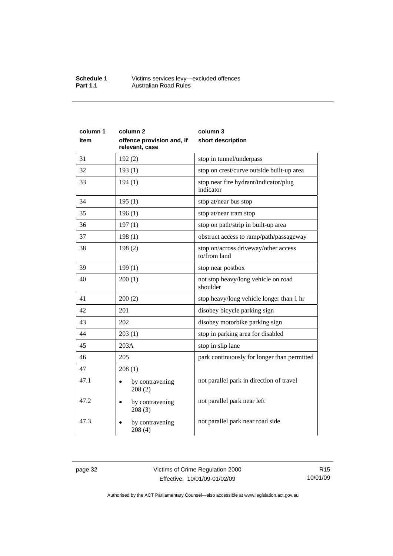#### **Schedule 1** Victims services levy—excluded offences **Part 1.1 Australian Road Rules**

| column 1 | column 2                                    | column 3                                             |
|----------|---------------------------------------------|------------------------------------------------------|
| item     | offence provision and, if<br>relevant, case | short description                                    |
| 31       | 192(2)                                      | stop in tunnel/underpass                             |
| 32       | 193(1)                                      | stop on crest/curve outside built-up area            |
| 33       | 194(1)                                      | stop near fire hydrant/indicator/plug<br>indicator   |
| 34       | 195(1)                                      | stop at/near bus stop                                |
| 35       | 196(1)                                      | stop at/near tram stop                               |
| 36       | 197(1)                                      | stop on path/strip in built-up area                  |
| 37       | 198(1)                                      | obstruct access to ramp/path/passageway              |
| 38       | 198(2)                                      | stop on/across driveway/other access<br>to/from land |
| 39       | 199(1)                                      | stop near postbox                                    |
| 40       | 200(1)                                      | not stop heavy/long vehicle on road<br>shoulder      |
| 41       | 200(2)                                      | stop heavy/long vehicle longer than 1 hr             |
| 42       | 201                                         | disobey bicycle parking sign                         |
| 43       | 202                                         | disobey motorbike parking sign                       |
| 44       | 203(1)                                      | stop in parking area for disabled                    |
| 45       | 203A                                        | stop in slip lane                                    |
| 46       | 205                                         | park continuously for longer than permitted          |
| 47       | 208(1)                                      |                                                      |
| 47.1     | by contravening<br>208(2)                   | not parallel park in direction of travel             |
| 47.2     | by contravening<br>208(3)                   | not parallel park near left                          |
| 47.3     | by contravening<br>208(4)                   | not parallel park near road side                     |

page 32 Victims of Crime Regulation 2000 Effective: 10/01/09-01/02/09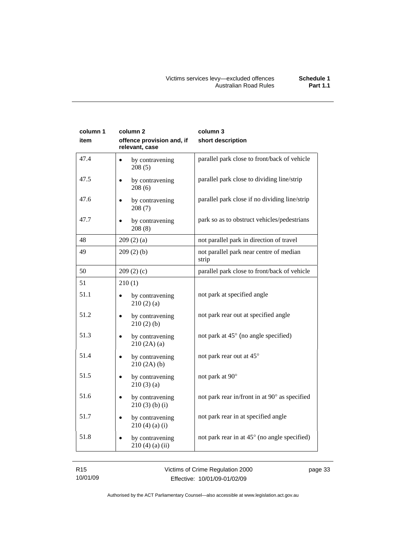| column 1<br>item | column 2<br>offence provision and, if<br>relevant, case | column 3<br>short description                    |
|------------------|---------------------------------------------------------|--------------------------------------------------|
| 47.4             | by contravening<br>208(5)                               | parallel park close to front/back of vehicle     |
| 47.5             | by contravening<br>208(6)                               | parallel park close to dividing line/strip       |
| 47.6             | by contravening<br>208(7)                               | parallel park close if no dividing line/strip    |
| 47.7             | by contravening<br>208(8)                               | park so as to obstruct vehicles/pedestrians      |
| 48               | 209(2)(a)                                               | not parallel park in direction of travel         |
| 49               | 209(2)(b)                                               | not parallel park near centre of median<br>strip |
| 50               | 209(2)(c)                                               | parallel park close to front/back of vehicle     |
| 51               | 210(1)                                                  |                                                  |
| 51.1             | by contravening<br>210(2)(a)                            | not park at specified angle                      |
| 51.2             | by contravening<br>210(2)(b)                            | not park rear out at specified angle             |
| 51.3             | by contravening<br>$\bullet$<br>210(2A)(a)              | not park at 45° (no angle specified)             |
| 51.4             | by contravening<br>210(2A)(b)                           | not park rear out at 45°                         |
| 51.5             | by contravening<br>$\bullet$<br>210(3)(a)               | not park at 90°                                  |
| 51.6             | by contravening<br>$210(3)$ (b) (i)                     | not park rear in/front in at 90° as specified    |
| 51.7             | by contravening<br>210(4)(a)(i)                         | not park rear in at specified angle              |
| 51.8             | by contravening<br>$210(4)$ (a) (ii)                    | not park rear in at 45° (no angle specified)     |

R15 10/01/09 Victims of Crime Regulation 2000 Effective: 10/01/09-01/02/09

page 33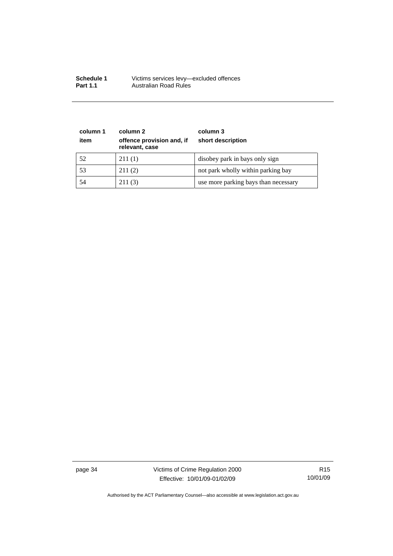| <b>Schedule 1</b> | Victims services levy-excluded offences |
|-------------------|-----------------------------------------|
| <b>Part 1.1</b>   | Australian Road Rules                   |

| column 1<br>item | column 2<br>offence provision and, if<br>relevant, case | column 3<br>short description        |
|------------------|---------------------------------------------------------|--------------------------------------|
| 52               | 211(1)                                                  | disobey park in bays only sign       |
| 53               | 211(2)                                                  | not park wholly within parking bay   |
| 54               | 211(3)                                                  | use more parking bays than necessary |

page 34 Victims of Crime Regulation 2000 Effective: 10/01/09-01/02/09

R15 10/01/09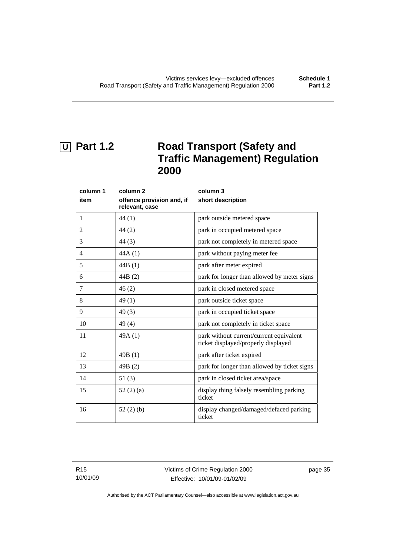# <span id="page-40-0"></span> **U Part 1.2 Road Transport (Safety and Traffic Management) Regulation 2000**

| column 1 | column 2                                    | column 3                                                                       |
|----------|---------------------------------------------|--------------------------------------------------------------------------------|
| item     | offence provision and, if<br>relevant, case | short description                                                              |
| 1        | 44 (1)                                      | park outside metered space                                                     |
| 2        | 44(2)                                       | park in occupied metered space                                                 |
| 3        | 44(3)                                       | park not completely in metered space                                           |
| 4        | 44A(1)                                      | park without paying meter fee                                                  |
| 5        | 44B(1)                                      | park after meter expired                                                       |
| 6        | 44B(2)                                      | park for longer than allowed by meter signs                                    |
| 7        | 46(2)                                       | park in closed metered space                                                   |
| 8        | 49(1)                                       | park outside ticket space                                                      |
| 9        | 49(3)                                       | park in occupied ticket space                                                  |
| 10       | 49(4)                                       | park not completely in ticket space                                            |
| 11       | 49A(1)                                      | park without current/current equivalent<br>ticket displayed/properly displayed |
| 12       | 49B(1)                                      | park after ticket expired                                                      |
| 13       | 49B(2)                                      | park for longer than allowed by ticket signs                                   |
| 14       | 51(3)                                       | park in closed ticket area/space                                               |
| 15       | 52(2)(a)                                    | display thing falsely resembling parking<br>ticket                             |
| 16       | 52(2)(b)                                    | display changed/damaged/defaced parking<br>ticket                              |

R15 10/01/09 Victims of Crime Regulation 2000 Effective: 10/01/09-01/02/09

page 35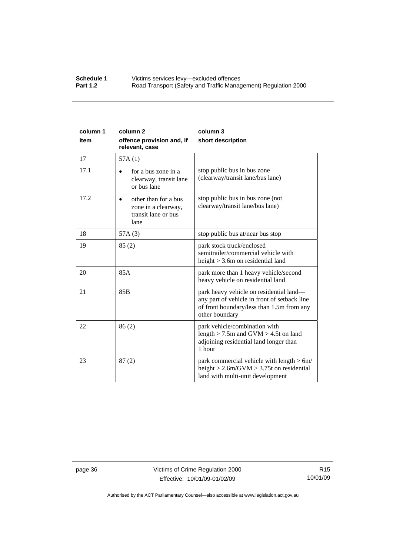#### **Schedule 1 Victims services levy—excluded offences**<br>**Part 1.2 Road Transport (Safety and Traffic Manad** Road Transport (Safety and Traffic Management) Regulation 2000

| column 1<br>item | column <sub>2</sub><br>offence provision and, if<br>relevant, case         | column 3<br>short description                                                                                                                          |
|------------------|----------------------------------------------------------------------------|--------------------------------------------------------------------------------------------------------------------------------------------------------|
| 17               | 57A(1)                                                                     |                                                                                                                                                        |
| 17.1             | for a bus zone in a<br>clearway, transit lane<br>or bus lane               | stop public bus in bus zone<br>(clearway/transit lane/bus lane)                                                                                        |
| 17.2             | other than for a bus<br>zone in a clearway,<br>transit lane or bus<br>lane | stop public bus in bus zone (not<br>clearway/transit lane/bus lane)                                                                                    |
| 18               | 57A(3)                                                                     | stop public bus at/near bus stop                                                                                                                       |
| 19               | 85(2)                                                                      | park stock truck/enclosed<br>semitrailer/commercial vehicle with<br>height $>$ 3.6m on residential land                                                |
| 20               | 85A                                                                        | park more than 1 heavy vehicle/second<br>heavy vehicle on residential land                                                                             |
| 21               | 85 <sub>B</sub>                                                            | park heavy vehicle on residential land—<br>any part of vehicle in front of setback line<br>of front boundary/less than 1.5m from any<br>other boundary |
| 22               | 86(2)                                                                      | park vehicle/combination with<br>length $>$ 7.5m and GVM $>$ 4.5t on land<br>adjoining residential land longer than<br>1 hour                          |
| 23               | 87(2)                                                                      | park commercial vehicle with length $> 6m/$<br>height $> 2.6$ m/GVM $> 3.75$ t on residential<br>land with multi-unit development                      |

page 36 Victims of Crime Regulation 2000 Effective: 10/01/09-01/02/09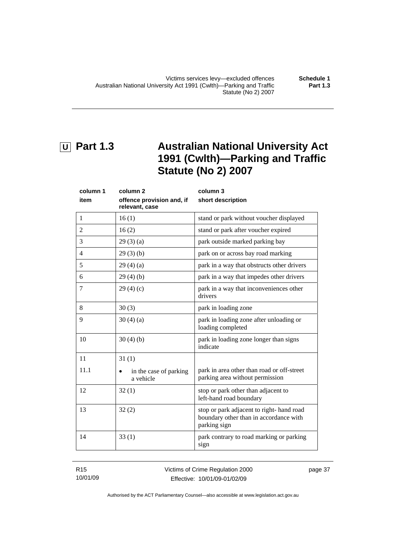# <span id="page-42-0"></span> **U Part 1.3 Australian National University Act 1991 (Cwlth)—Parking and Traffic Statute (No 2) 2007**

| column 1       | column <sub>2</sub>                         | column 3                                                                                            |
|----------------|---------------------------------------------|-----------------------------------------------------------------------------------------------------|
| item           | offence provision and, if<br>relevant, case | short description                                                                                   |
| 1              | 16(1)                                       | stand or park without voucher displayed                                                             |
| $\overline{c}$ | 16(2)                                       | stand or park after voucher expired                                                                 |
| 3              | 29(3)(a)                                    | park outside marked parking bay                                                                     |
| $\overline{4}$ | 29(3)(b)                                    | park on or across bay road marking                                                                  |
| 5              | 29(4)(a)                                    | park in a way that obstructs other drivers                                                          |
| 6              | 29(4)(b)                                    | park in a way that impedes other drivers                                                            |
| 7              | 29(4)(c)                                    | park in a way that inconveniences other<br>drivers                                                  |
| 8              | 30(3)                                       | park in loading zone                                                                                |
| 9              | 30(4)(a)                                    | park in loading zone after unloading or<br>loading completed                                        |
| 10             | 30(4)(b)                                    | park in loading zone longer than signs<br>indicate                                                  |
| 11             | 31(1)                                       |                                                                                                     |
| 11.1           | in the case of parking<br>a vehicle         | park in area other than road or off-street<br>parking area without permission                       |
| 12             | 32(1)                                       | stop or park other than adjacent to<br>left-hand road boundary                                      |
| 13             | 32(2)                                       | stop or park adjacent to right- hand road<br>boundary other than in accordance with<br>parking sign |
| 14             | 33(1)                                       | park contrary to road marking or parking<br>sign                                                    |

R15 10/01/09

page 37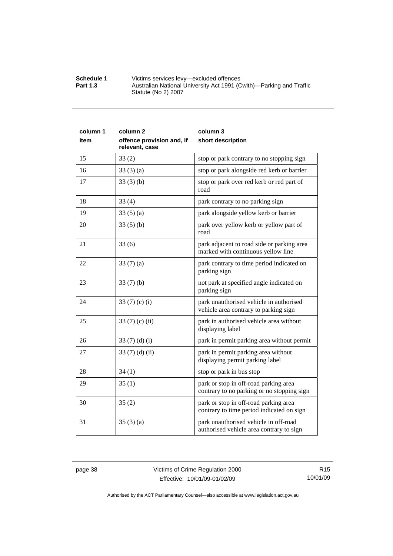| <b>Schedule 1</b> | Victims services levy-excluded offences                             |
|-------------------|---------------------------------------------------------------------|
| <b>Part 1.3</b>   | Australian National University Act 1991 (Cwlth)—Parking and Traffic |
|                   | Statute (No 2) 2007                                                 |

| column 1 | column <sub>2</sub>                         | column 3                                                                            |
|----------|---------------------------------------------|-------------------------------------------------------------------------------------|
| item     | offence provision and, if<br>relevant, case | short description                                                                   |
| 15       | 33(2)                                       | stop or park contrary to no stopping sign                                           |
| 16       | 33(3)(a)                                    | stop or park alongside red kerb or barrier                                          |
| 17       | 33(3)(b)                                    | stop or park over red kerb or red part of<br>road                                   |
| 18       | 33(4)                                       | park contrary to no parking sign                                                    |
| 19       | 33(5)(a)                                    | park alongside yellow kerb or barrier                                               |
| 20       | 33(5)(b)                                    | park over yellow kerb or yellow part of<br>road                                     |
| 21       | 33(6)                                       | park adjacent to road side or parking area<br>marked with continuous yellow line    |
| 22       | 33 $(7)(a)$                                 | park contrary to time period indicated on<br>parking sign                           |
| 23       | 33(7)(b)                                    | not park at specified angle indicated on<br>parking sign                            |
| 24       | 33 $(7)$ $(c)$ $(i)$                        | park unauthorised vehicle in authorised<br>vehicle area contrary to parking sign    |
| 25       | 33 $(7)$ (c) (ii)                           | park in authorised vehicle area without<br>displaying label                         |
| 26       | 33 $(7)(d)(i)$                              | park in permit parking area without permit                                          |
| 27       | 33 $(7)$ $(d)$ $(ii)$                       | park in permit parking area without<br>displaying permit parking label              |
| 28       | 34(1)                                       | stop or park in bus stop                                                            |
| 29       | 35(1)                                       | park or stop in off-road parking area<br>contrary to no parking or no stopping sign |
| 30       | 35(2)                                       | park or stop in off-road parking area<br>contrary to time period indicated on sign  |
| 31       | 35(3)(a)                                    | park unauthorised vehicle in off-road<br>authorised vehicle area contrary to sign   |

page 38 Victims of Crime Regulation 2000 Effective: 10/01/09-01/02/09

R15 10/01/09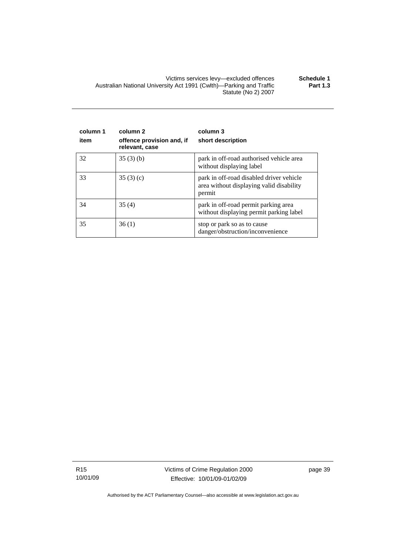Victims services levy—excluded offences **Schedule 1**  Australian National University Act 1991 (Cwlth)—Parking and Traffic Statute (No 2) 2007 **Part 1.3** 

| column 1<br>item | column <sub>2</sub><br>offence provision and, if<br>relevant, case | column 3<br>short description                                                                  |
|------------------|--------------------------------------------------------------------|------------------------------------------------------------------------------------------------|
| 32               | 35(3)(b)                                                           | park in off-road authorised vehicle area<br>without displaying label                           |
| 33               | 35(3)(c)                                                           | park in off-road disabled driver vehicle<br>area without displaying valid disability<br>permit |
| 34               | 35(4)                                                              | park in off-road permit parking area<br>without displaying permit parking label                |
| 35               | 36(1)                                                              | stop or park so as to cause<br>danger/obstruction/inconvenience                                |

R15 10/01/09 Victims of Crime Regulation 2000 Effective: 10/01/09-01/02/09

page 39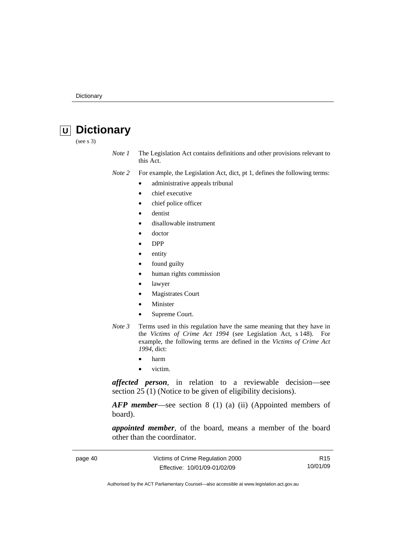# <span id="page-45-0"></span> **U Dictionary**

(see s 3)

*Note 1* The Legislation Act contains definitions and other provisions relevant to this Act.

*Note 2* For example, the Legislation Act, dict, pt 1, defines the following terms:

- administrative appeals tribunal
- chief executive
- chief police officer
- dentist
- disallowable instrument
- doctor
- DPP
- entity
- found guilty
- human rights commission
- lawyer
- **Magistrates Court**
- **Minister**
- Supreme Court.
- *Note 3* Terms used in this regulation have the same meaning that they have in the *Victims of Crime Act 1994* (see Legislation Act, s 148). For example, the following terms are defined in the *Victims of Crime Act 1994*, dict:
	- harm
	- victim.

*affected person*, in relation to a reviewable decision—see section 25 (1) (Notice to be given of eligibility decisions).

*AFP member*—see section 8 (1) (a) (ii) (Appointed members of board).

*appointed member*, of the board, means a member of the board other than the coordinator.

| page 40 | Victims of Crime Regulation 2000 | R <sub>15</sub> |
|---------|----------------------------------|-----------------|
|         | Effective: 10/01/09-01/02/09     | 10/01/09        |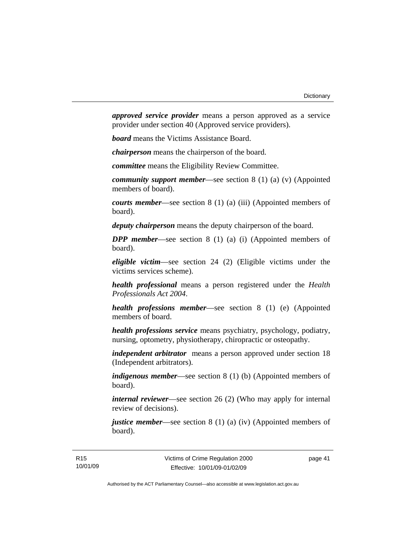*approved service provider* means a person approved as a service provider under section 40 (Approved service providers).

*board* means the Victims Assistance Board.

*chairperson* means the chairperson of the board.

*committee* means the Eligibility Review Committee.

*community support member*—see section 8 (1) (a) (v) (Appointed members of board).

*courts member*—see section 8 (1) (a) (iii) (Appointed members of board).

*deputy chairperson* means the deputy chairperson of the board.

*DPP member*—see section 8 (1) (a) (i) (Appointed members of board).

*eligible victim*—see section 24 (2) (Eligible victims under the victims services scheme).

*health professional* means a person registered under the *Health Professionals Act 2004*.

*health professions member*—see section 8 (1) (e) (Appointed members of board.

*health professions service* means psychiatry, psychology, podiatry, nursing, optometry, physiotherapy, chiropractic or osteopathy.

*independent arbitrator* means a person approved under section 18 (Independent arbitrators).

*indigenous member*—see section 8 (1) (b) (Appointed members of board).

*internal reviewer*—see section 26 (2) (Who may apply for internal review of decisions).

*justice member*—see section 8 (1) (a) (iv) (Appointed members of board).

page 41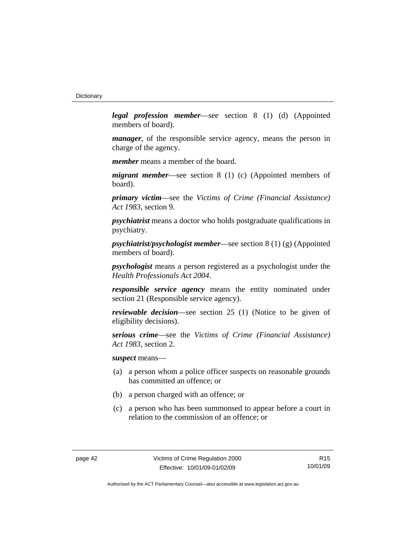*legal profession member*—see section 8 (1) (d) (Appointed members of board).

*manager*, of the responsible service agency, means the person in charge of the agency.

*member* means a member of the board.

*migrant member*—see section 8 (1) (c) (Appointed members of board).

*primary victim*—see the *Victims of Crime (Financial Assistance) Act 1983*, section 9.

*psychiatrist* means a doctor who holds postgraduate qualifications in psychiatry.

*psychiatrist/psychologist member*—see section 8 (1) (g) (Appointed members of board).

*psychologist* means a person registered as a psychologist under the *Health Professionals Act 2004*.

*responsible service agency* means the entity nominated under section 21 (Responsible service agency).

*reviewable decision*—see section 25 (1) (Notice to be given of eligibility decisions).

*serious crime*—see the *Victims of Crime (Financial Assistance) Act 1983*, section 2.

*suspect* means—

- (a) a person whom a police officer suspects on reasonable grounds has committed an offence; or
- (b) a person charged with an offence; or
- (c) a person who has been summonsed to appear before a court in relation to the commission of an offence; or

R15 10/01/09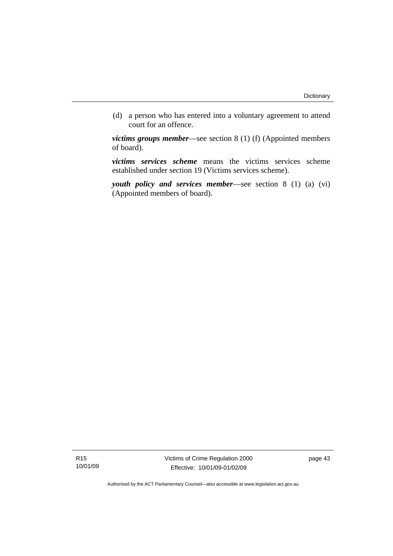(d) a person who has entered into a voluntary agreement to attend court for an offence.

*victims groups member*—see section 8 (1) (f) (Appointed members of board).

*victims services scheme* means the victims services scheme established under section 19 (Victims services scheme).

*youth policy and services member*—see section 8 (1) (a) (vi) (Appointed members of board).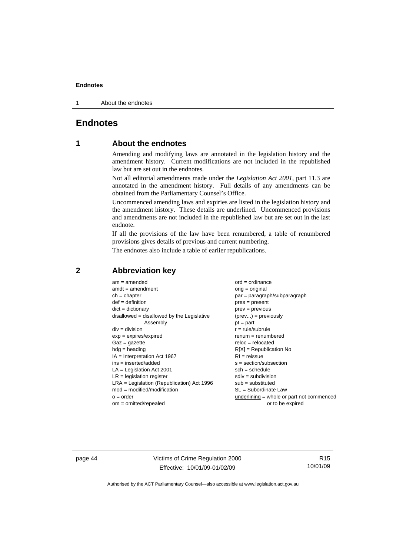<span id="page-49-0"></span>1 About the endnotes

## **Endnotes**

# **1 About the endnotes**

Amending and modifying laws are annotated in the legislation history and the amendment history. Current modifications are not included in the republished law but are set out in the endnotes.

Not all editorial amendments made under the *Legislation Act 2001*, part 11.3 are annotated in the amendment history. Full details of any amendments can be obtained from the Parliamentary Counsel's Office.

Uncommenced amending laws and expiries are listed in the legislation history and the amendment history. These details are underlined. Uncommenced provisions and amendments are not included in the republished law but are set out in the last endnote.

If all the provisions of the law have been renumbered, a table of renumbered provisions gives details of previous and current numbering.

The endnotes also include a table of earlier republications.

| $am = amended$                               | $ord = ordinance$                         |
|----------------------------------------------|-------------------------------------------|
| $amdt = amendment$                           | $orig = original$                         |
| $ch = chapter$                               | par = paragraph/subparagraph              |
| $def = definition$                           | $pres = present$                          |
| $dict = dictionary$                          | $prev = previous$                         |
| $disallowed = disallowed by the Legislative$ | $(\text{prev}) = \text{previously}$       |
| Assembly                                     | $pt = part$                               |
| $div = division$                             | $r = rule/subrule$                        |
| $exp = expires/expired$                      | $remum = renumbered$                      |
| $Gaz = gazette$                              | $reloc = relocated$                       |
| $hdg =$ heading                              | $R[X]$ = Republication No                 |
| $IA = Interpretation Act 1967$               | $RI = reissue$                            |
| $ins = inserted/added$                       | $s = section/subsection$                  |
| $LA =$ Legislation Act 2001                  | $sch = schedule$                          |
| $LR =$ legislation register                  | $sdiv = subdivision$                      |
| $LRA =$ Legislation (Republication) Act 1996 | $sub = substituted$                       |
| $mod = modified/modification$                | $SL = Subordinate$ Law                    |
| $o = order$                                  | underlining = whole or part not commenced |
| $om = omitted/report$                        | or to be expired                          |
|                                              |                                           |

#### **2 Abbreviation key**

page 44 Victims of Crime Regulation 2000 Effective: 10/01/09-01/02/09

R15 10/01/09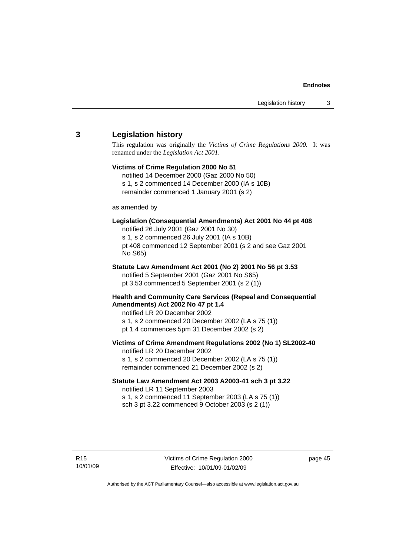#### <span id="page-50-0"></span>**3 Legislation history**

This regulation was originally the *Victims of Crime Regulations 2000*. It was renamed under the *Legislation Act 2001*.

#### **Victims of Crime Regulation 2000 No 51**  notified 14 December 2000 (Gaz 2000 No 50)

s 1, s 2 commenced 14 December 2000 (IA s 10B) remainder commenced 1 January 2001 (s 2)

as amended by

#### **Legislation (Consequential Amendments) Act 2001 No 44 pt 408**

notified 26 July 2001 (Gaz 2001 No 30) s 1, s 2 commenced 26 July 2001 (IA s 10B) pt 408 commenced 12 September 2001 (s 2 and see Gaz 2001 No S65)

# **Statute Law Amendment Act 2001 (No 2) 2001 No 56 pt 3.53**

notified 5 September 2001 (Gaz 2001 No S65) pt 3.53 commenced 5 September 2001 (s 2 (1))

#### **Health and Community Care Services (Repeal and Consequential Amendments) Act 2002 No 47 pt 1.4**

notified LR 20 December 2002

s 1, s 2 commenced 20 December 2002 (LA s 75 (1))

pt 1.4 commences 5pm 31 December 2002 (s 2)

#### **Victims of Crime Amendment Regulations 2002 (No 1) SL2002-40**

notified LR 20 December 2002 s 1, s 2 commenced 20 December 2002 (LA s 75 (1)) remainder commenced 21 December 2002 (s 2)

#### **Statute Law Amendment Act 2003 A2003-41 sch 3 pt 3.22**  notified LR 11 September 2003

s 1, s 2 commenced 11 September 2003 (LA s 75 (1)) sch 3 pt 3.22 commenced 9 October 2003 (s 2 (1))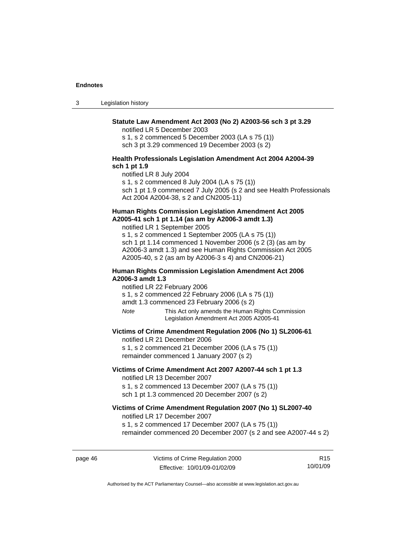3 Legislation history

#### **Statute Law Amendment Act 2003 (No 2) A2003-56 sch 3 pt 3.29**

notified LR 5 December 2003

s 1, s 2 commenced 5 December 2003 (LA s 75 (1)) sch 3 pt 3.29 commenced 19 December 2003 (s 2)

#### **Health Professionals Legislation Amendment Act 2004 A2004-39 sch 1 pt 1.9**

notified LR 8 July 2004 s 1, s 2 commenced 8 July 2004 (LA s 75 (1)) sch 1 pt 1.9 commenced 7 July 2005 (s 2 and see Health Professionals Act 2004 A2004-38, s 2 and CN2005-11)

#### **Human Rights Commission Legislation Amendment Act 2005 A2005-41 sch 1 pt 1.14 (as am by A2006-3 amdt 1.3)**

notified LR 1 September 2005 s 1, s 2 commenced 1 September 2005 (LA s 75 (1)) sch 1 pt 1.14 commenced 1 November 2006 (s 2 (3) (as am by A2006-3 amdt 1.3) and see Human Rights Commission Act 2005 A2005-40, s 2 (as am by A2006-3 s 4) and CN2006-21)

#### **Human Rights Commission Legislation Amendment Act 2006 A2006-3 amdt 1.3**

notified LR 22 February 2006

s 1, s 2 commenced 22 February 2006 (LA s 75 (1))

amdt 1.3 commenced 23 February 2006 (s 2)

*Note* This Act only amends the Human Rights Commission Legislation Amendment Act 2005 A2005-41

#### **Victims of Crime Amendment Regulation 2006 (No 1) SL2006-61**

notified LR 21 December 2006 s 1, s 2 commenced 21 December 2006 (LA s 75 (1))

remainder commenced 1 January 2007 (s 2)

#### **Victims of Crime Amendment Act 2007 A2007-44 sch 1 pt 1.3**  notified LR 13 December 2007

s 1, s 2 commenced 13 December 2007 (LA s 75 (1)) sch 1 pt 1.3 commenced 20 December 2007 (s 2)

#### **Victims of Crime Amendment Regulation 2007 (No 1) SL2007-40**  notified LR 17 December 2007

s 1, s 2 commenced 17 December 2007 (LA s 75 (1))

remainder commenced 20 December 2007 (s 2 and see A2007-44 s 2)

page 46 Victims of Crime Regulation 2000 Effective: 10/01/09-01/02/09

R15 10/01/09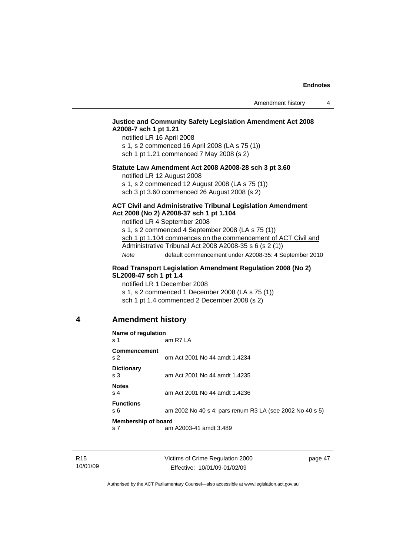#### <span id="page-52-0"></span>**Justice and Community Safety Legislation Amendment Act 2008 A2008-7 sch 1 pt 1.21**

notified LR 16 April 2008 s 1, s 2 commenced 16 April 2008 (LA s 75 (1)) sch 1 pt 1.21 commenced 7 May 2008 (s 2)

#### **Statute Law Amendment Act 2008 A2008-28 sch 3 pt 3.60**

notified LR 12 August 2008

s 1, s 2 commenced 12 August 2008 (LA s 75 (1)) sch 3 pt 3.60 commenced 26 August 2008 (s 2)

#### **ACT Civil and Administrative Tribunal Legislation Amendment Act 2008 (No 2) A2008-37 sch 1 pt 1.104**

notified LR 4 September 2008

s 1, s 2 commenced 4 September 2008 (LA s 75 (1)) sch 1 pt 1.104 commences on the commencement of ACT Civil and Administrative Tribunal Act 2008 A2008-35 s 6 (s 2 (1)) *Note* default commencement under A2008-35: 4 September 2010

#### **Road Transport Legislation Amendment Regulation 2008 (No 2) SL2008-47 sch 1 pt 1.4**

notified LR 1 December 2008 s 1, s 2 commenced 1 December 2008 (LA s 75 (1)) sch 1 pt 1.4 commenced 2 December 2008 (s 2)

#### **4 Amendment history**

| Name of regulation                  |                                                          |  |
|-------------------------------------|----------------------------------------------------------|--|
| s 1                                 | am R7 LA                                                 |  |
| Commencement<br>s <sub>2</sub>      | om Act 2001 No 44 amdt 1.4234                            |  |
| <b>Dictionary</b><br>s <sub>3</sub> | am Act 2001 No 44 amdt 1.4235                            |  |
| <b>Notes</b><br>s <sub>4</sub>      | am Act 2001 No 44 amdt 1.4236                            |  |
| <b>Functions</b><br>s 6             | am 2002 No 40 s 4; pars renum R3 LA (see 2002 No 40 s 5) |  |
| Membership of board                 |                                                          |  |
| s <sub>7</sub>                      | am A2003-41 amdt 3.489                                   |  |

page 47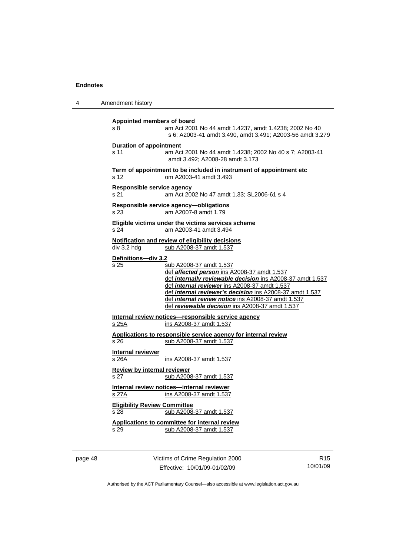| Amendment history                                                                                                                                                                                                                                                                                                                                                                         |
|-------------------------------------------------------------------------------------------------------------------------------------------------------------------------------------------------------------------------------------------------------------------------------------------------------------------------------------------------------------------------------------------|
| Appointed members of board<br>am Act 2001 No 44 amdt 1.4237, amdt 1.4238; 2002 No 40<br>s 8<br>s 6; A2003-41 amdt 3.490, amdt 3.491; A2003-56 amdt 3.279                                                                                                                                                                                                                                  |
| <b>Duration of appointment</b><br>s 11<br>am Act 2001 No 44 amdt 1.4238; 2002 No 40 s 7; A2003-41<br>amdt 3.492; A2008-28 amdt 3.173                                                                                                                                                                                                                                                      |
| Term of appointment to be included in instrument of appointment etc<br>om A2003-41 amdt 3.493<br>s <sub>12</sub>                                                                                                                                                                                                                                                                          |
| Responsible service agency<br>s 21<br>am Act 2002 No 47 amdt 1.33; SL2006-61 s 4                                                                                                                                                                                                                                                                                                          |
| Responsible service agency-obligations<br>s 23<br>am A2007-8 amdt 1.79                                                                                                                                                                                                                                                                                                                    |
| Eligible victims under the victims services scheme<br>s 24<br>am A2003-41 amdt 3.494                                                                                                                                                                                                                                                                                                      |
| Notification and review of eligibility decisions<br>div 3.2 hdg<br>sub A2008-37 amdt 1.537                                                                                                                                                                                                                                                                                                |
| Definitions-div 3.2<br>s 25<br>sub A2008-37 amdt 1.537<br>def affected person ins A2008-37 amdt 1.537<br>def internally reviewable decision ins A2008-37 amdt 1.537<br>def internal reviewer ins A2008-37 amdt 1.537<br>def internal reviewer's decision ins A2008-37 amdt 1.537<br>def internal review notice ins A2008-37 amdt 1.537<br>def reviewable decision ins A2008-37 amdt 1.537 |
| Internal review notices-responsible service agency<br>ins A2008-37 amdt 1.537<br>s 25A                                                                                                                                                                                                                                                                                                    |
| Applications to responsible service agency for internal review<br>s 26<br>sub A2008-37 amdt 1.537                                                                                                                                                                                                                                                                                         |
| <b>Internal reviewer</b><br>s 26A<br>ins A2008-37 amdt 1.537                                                                                                                                                                                                                                                                                                                              |
| <b>Review by internal reviewer</b><br>s 27<br>sub A2008-37 amdt 1.537                                                                                                                                                                                                                                                                                                                     |
| Internal review notices-internal reviewer<br>ins A2008-37 amdt 1.537<br><u>s 27A</u>                                                                                                                                                                                                                                                                                                      |
| <b>Eligibility Review Committee</b><br>s 28<br>sub A2008-37 amdt 1.537                                                                                                                                                                                                                                                                                                                    |
| Applications to committee for internal review<br>s 29<br>sub A2008-37 amdt 1.537                                                                                                                                                                                                                                                                                                          |
|                                                                                                                                                                                                                                                                                                                                                                                           |

page 48 Victims of Crime Regulation 2000 Effective: 10/01/09-01/02/09

R15 10/01/09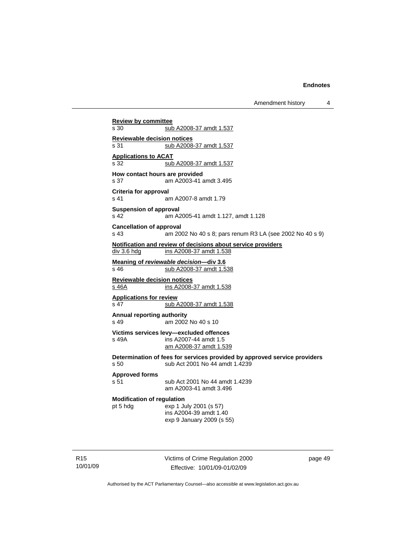Amendment history 4

**Review by committee** s 30 sub A2008-37 amdt 1.537 **Reviewable decision notices** s 31 sub A2008-37 amdt 1.537 **Applications to ACAT** s 32 sub A2008-37 amdt 1.537 **How contact hours are provided**  s 37 am A2003-41 amdt 3.495 **Criteria for approval**  s 41 am A2007-8 amdt 1.79 **Suspension of approval**  s 42 am A2005-41 amdt 1.127, amdt 1.128 **Cancellation of approval**  s 43 am 2002 No 40 s 8; pars renum R3 LA (see 2002 No 40 s 9) **Notification and review of decisions about service providers** div 3.6 hdg ins A2008-37 amdt 1.538 **Meaning of** *reviewable decision—***div 3.6** s 46 sub A2008-37 amdt 1.538 **Reviewable decision notices** s 46A ins A2008-37 amdt 1.538 **Applications for review** s 47 sub A2008-37 amdt 1.538 **Annual reporting authority**  s 49 am 2002 No 40 s 10 **Victims services levy—excluded offences**  s 49A ins A2007-44 amdt 1.5 am A2008-37 amdt 1.539 **Determination of fees for services provided by approved service providers**  s 50 sub Act 2001 No 44 amdt 1.4239 **Approved forms**  s 51 sub Act 2001 No 44 amdt 1.4239 am A2003-41 amdt 3.496 **Modification of regulation**  pt 5 hdg exp 1 July 2001 (s 57) ins A2004-39 amdt 1.40 exp 9 January 2009 (s 55)

R15 10/01/09 Victims of Crime Regulation 2000 Effective: 10/01/09-01/02/09

page 49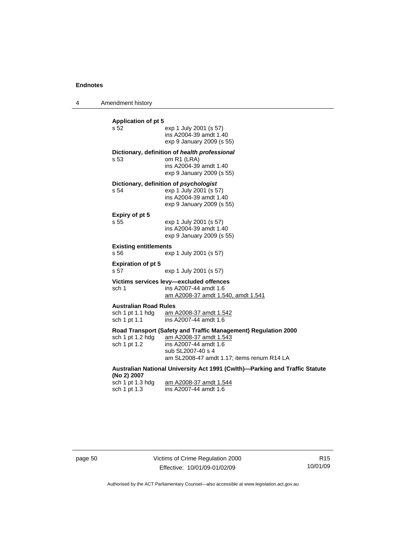4 Amendment history

| <b>Application of pt 5</b>                       |                                                                               |  |
|--------------------------------------------------|-------------------------------------------------------------------------------|--|
| s 52                                             | exp 1 July 2001 (s 57)<br>ins A2004-39 amdt 1.40<br>exp 9 January 2009 (s 55) |  |
|                                                  | Dictionary, definition of health professional                                 |  |
| s <sub>53</sub>                                  | om R1 (LRA)<br>ins A2004-39 amdt 1.40<br>exp 9 January 2009 (s 55)            |  |
|                                                  | Dictionary, definition of psychologist                                        |  |
| s 54                                             | exp 1 July 2001 (s 57)<br>ins A2004-39 amdt 1.40                              |  |
|                                                  | exp 9 January 2009 (s 55)                                                     |  |
| Expiry of pt 5                                   |                                                                               |  |
| s 55                                             | exp 1 July 2001 (s 57)                                                        |  |
|                                                  | ins A2004-39 amdt 1.40                                                        |  |
|                                                  | exp 9 January 2009 (s 55)                                                     |  |
| <b>Existing entitlements</b><br>s 56             | exp 1 July 2001 (s 57)                                                        |  |
| <b>Expiration of pt 5</b><br>s 57                | exp 1 July 2001 (s 57)                                                        |  |
|                                                  | Victims services levy-excluded offences                                       |  |
| sch 1                                            | ins A2007-44 amdt 1.6                                                         |  |
|                                                  | am A2008-37 amdt 1.540, amdt 1.541                                            |  |
| <b>Australian Road Rules</b><br>sch 1 pt 1.1 hdg | am A2008-37 amdt 1.542                                                        |  |
| sch 1 pt 1.1                                     | ins A2007-44 amdt 1.6                                                         |  |
|                                                  | Road Transport (Safety and Traffic Management) Regulation 2000                |  |
| sch 1 pt 1.2 hdg                                 | am A2008-37 amdt 1.543                                                        |  |
| sch 1 pt 1.2                                     | ins A2007-44 amdt 1.6<br>sub SL2007-40 s 4                                    |  |
|                                                  | am SL2008-47 amdt 1.17; items renum R14 LA                                    |  |
| (No 2) 2007                                      | Australian National University Act 1991 (Cwlth)—Parking and Traffic Statute   |  |
| sch 1 pt 1.3 hdg                                 | am A2008-37 amdt 1.544                                                        |  |
| sch 1 pt 1.3                                     | ins A2007-44 amdt 1.6                                                         |  |
|                                                  |                                                                               |  |
|                                                  |                                                                               |  |

page 50 Victims of Crime Regulation 2000 Effective: 10/01/09-01/02/09

R15 10/01/09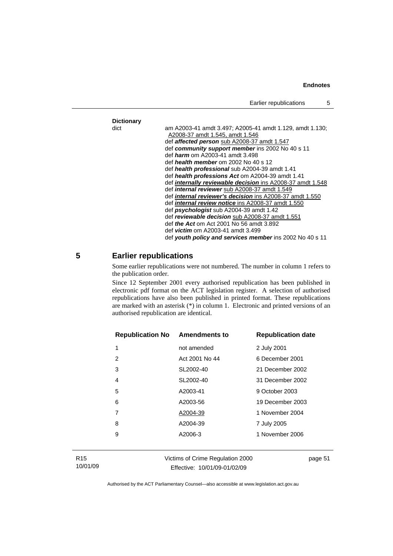<span id="page-56-0"></span>

|                   | Earlier republications                                                                                                                            | 5 |
|-------------------|---------------------------------------------------------------------------------------------------------------------------------------------------|---|
|                   |                                                                                                                                                   |   |
| <b>Dictionary</b> |                                                                                                                                                   |   |
| dict              | am A2003-41 amdt 3.497; A2005-41 amdt 1.129, amdt 1.130;<br>A2008-37 amdt 1.545, amdt 1.546<br>def <b>affected person</b> sub A2008-37 amdt 1.547 |   |
|                   | def community support member ins 2002 No 40 s 11                                                                                                  |   |
|                   | def <i>harm</i> om A2003-41 amdt 3.498                                                                                                            |   |
|                   | def health member om 2002 No 40 s 12                                                                                                              |   |
|                   | def health professional sub A2004-39 amdt 1.41                                                                                                    |   |
|                   | def health professions Act om A2004-39 amdt 1.41                                                                                                  |   |
|                   | def <i>internally reviewable decision</i> ins A2008-37 amdt 1.548                                                                                 |   |
|                   | def <i>internal reviewer</i> sub A2008-37 amdt 1.549                                                                                              |   |
|                   | def <i>internal reviewer's decision</i> ins A2008-37 amdt 1.550                                                                                   |   |
|                   | def <i>internal review notice</i> ins A2008-37 amdt 1.550                                                                                         |   |
|                   | def <b>psychologist</b> sub A2004-39 amdt 1.42                                                                                                    |   |
|                   | def reviewable decision sub A2008-37 amdt 1.551                                                                                                   |   |
|                   | def <i>the Act</i> om Act 2001 No 56 amdt 3.892                                                                                                   |   |
|                   | def <i>victim</i> om A2003-41 amdt 3.499                                                                                                          |   |
|                   | def youth policy and services member ins 2002 No 40 s 11                                                                                          |   |

#### **5 Earlier republications**

Some earlier republications were not numbered. The number in column 1 refers to the publication order.

Since 12 September 2001 every authorised republication has been published in electronic pdf format on the ACT legislation register. A selection of authorised republications have also been published in printed format. These republications are marked with an asterisk (\*) in column 1. Electronic and printed versions of an authorised republication are identical.

| <b>Republication No Amendments to</b> |                | <b>Republication date</b> |
|---------------------------------------|----------------|---------------------------|
| 1                                     | not amended    | 2 July 2001               |
| 2                                     | Act 2001 No 44 | 6 December 2001           |
| 3                                     | SL2002-40      | 21 December 2002          |
| 4                                     | SL2002-40      | 31 December 2002          |
| 5                                     | A2003-41       | 9 October 2003            |
| 6                                     | A2003-56       | 19 December 2003          |
| 7                                     | A2004-39       | 1 November 2004           |
| 8                                     | A2004-39       | 7 July 2005               |
| 9                                     | A2006-3        | 1 November 2006           |
|                                       |                |                           |

Victims of Crime Regulation 2000 Effective: 10/01/09-01/02/09

page 51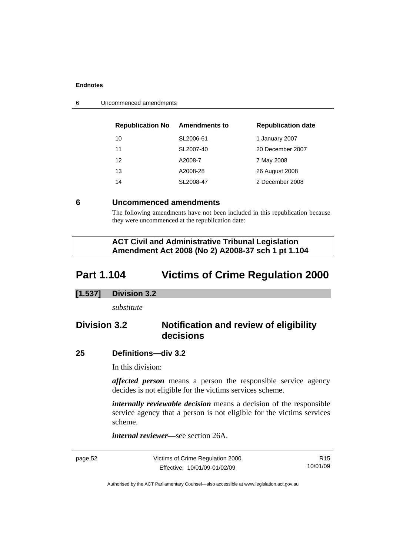| <b>Republication No</b> | <b>Amendments to</b> | <b>Republication date</b> |
|-------------------------|----------------------|---------------------------|
| 10                      | SL2006-61            | 1 January 2007            |
| 11                      | SL2007-40            | 20 December 2007          |
| 12                      | A2008-7              | 7 May 2008                |
| 13                      | A2008-28             | 26 August 2008            |
| 14                      | SL2008-47            | 2 December 2008           |

<span id="page-57-0"></span>6 Uncommenced amendments

#### **6 Uncommenced amendments**

The following amendments have not been included in this republication because they were uncommenced at the republication date:

 **ACT Civil and Administrative Tribunal Legislation Amendment Act 2008 (No 2) A2008-37 sch 1 pt 1.104** 

# **Part 1.104 Victims of Crime Regulation 2000**

#### **[1.537] Division 3.2**

*substitute* 

# **Division 3.2 Notification and review of eligibility decisions**

#### **25 Definitions—div 3.2**

In this division:

*affected person* means a person the responsible service agency decides is not eligible for the victims services scheme.

*internally reviewable decision* means a decision of the responsible service agency that a person is not eligible for the victims services scheme.

*internal reviewer—*see section 26A.

page 52 Victims of Crime Regulation 2000 Effective: 10/01/09-01/02/09

R15 10/01/09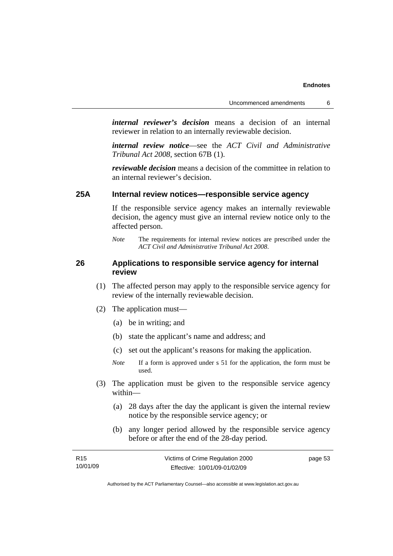*internal reviewer's decision* means a decision of an internal reviewer in relation to an internally reviewable decision.

*internal review notice*—see the *ACT Civil and Administrative Tribunal Act 2008*, section 67B (1).

*reviewable decision* means a decision of the committee in relation to an internal reviewer's decision.

## **25A Internal review notices—responsible service agency**

If the responsible service agency makes an internally reviewable decision, the agency must give an internal review notice only to the affected person.

#### **26 Applications to responsible service agency for internal review**

- (1) The affected person may apply to the responsible service agency for review of the internally reviewable decision.
- (2) The application must—
	- (a) be in writing; and
	- (b) state the applicant's name and address; and
	- (c) set out the applicant's reasons for making the application.
	- *Note* If a form is approved under s 51 for the application, the form must be used.
- (3) The application must be given to the responsible service agency within—
	- (a) 28 days after the day the applicant is given the internal review notice by the responsible service agency; or
	- (b) any longer period allowed by the responsible service agency before or after the end of the 28-day period.

| R <sub>15</sub> | Victims of Crime Regulation 2000 | page 53 |
|-----------------|----------------------------------|---------|
| 10/01/09        | Effective: 10/01/09-01/02/09     |         |

*Note* The requirements for internal review notices are prescribed under the *ACT Civil and Administrative Tribunal Act 2008*.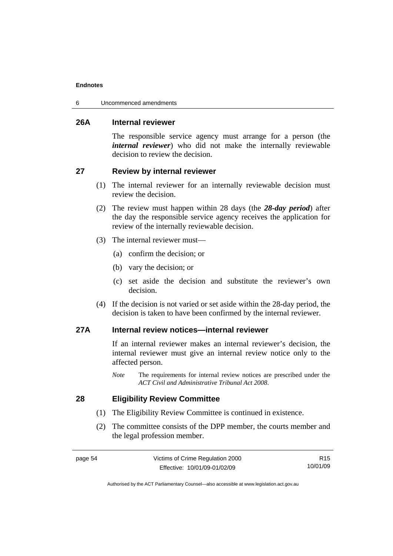6 Uncommenced amendments

#### **26A Internal reviewer**

The responsible service agency must arrange for a person (the *internal reviewer*) who did not make the internally reviewable decision to review the decision.

#### **27 Review by internal reviewer**

- (1) The internal reviewer for an internally reviewable decision must review the decision.
- (2) The review must happen within 28 days (the *28-day period*) after the day the responsible service agency receives the application for review of the internally reviewable decision.
- (3) The internal reviewer must—
	- (a) confirm the decision; or
	- (b) vary the decision; or
	- (c) set aside the decision and substitute the reviewer's own decision.
- (4) If the decision is not varied or set aside within the 28-day period, the decision is taken to have been confirmed by the internal reviewer.

## **27A Internal review notices—internal reviewer**

If an internal reviewer makes an internal reviewer's decision, the internal reviewer must give an internal review notice only to the affected person.

*Note* The requirements for internal review notices are prescribed under the *ACT Civil and Administrative Tribunal Act 2008*.

#### **28 Eligibility Review Committee**

- (1) The Eligibility Review Committee is continued in existence.
- (2) The committee consists of the DPP member, the courts member and the legal profession member.

| ı.<br>ı<br>c |  |
|--------------|--|
|--------------|--|

R15 10/01/09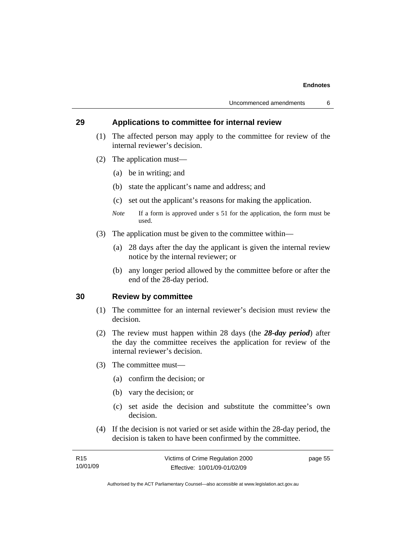#### **29 Applications to committee for internal review**

- (1) The affected person may apply to the committee for review of the internal reviewer's decision.
- (2) The application must—
	- (a) be in writing; and
	- (b) state the applicant's name and address; and
	- (c) set out the applicant's reasons for making the application.
	- *Note* If a form is approved under s 51 for the application, the form must be used.
- (3) The application must be given to the committee within—
	- (a) 28 days after the day the applicant is given the internal review notice by the internal reviewer; or
	- (b) any longer period allowed by the committee before or after the end of the 28-day period.

#### **30 Review by committee**

- (1) The committee for an internal reviewer's decision must review the decision.
- (2) The review must happen within 28 days (the *28-day period*) after the day the committee receives the application for review of the internal reviewer's decision.
- (3) The committee must—
	- (a) confirm the decision; or
	- (b) vary the decision; or
	- (c) set aside the decision and substitute the committee's own decision.
- (4) If the decision is not varied or set aside within the 28-day period, the decision is taken to have been confirmed by the committee.

| R <sub>15</sub> | Victims of Crime Regulation 2000 | page 55 |
|-----------------|----------------------------------|---------|
| 10/01/09        | Effective: 10/01/09-01/02/09     |         |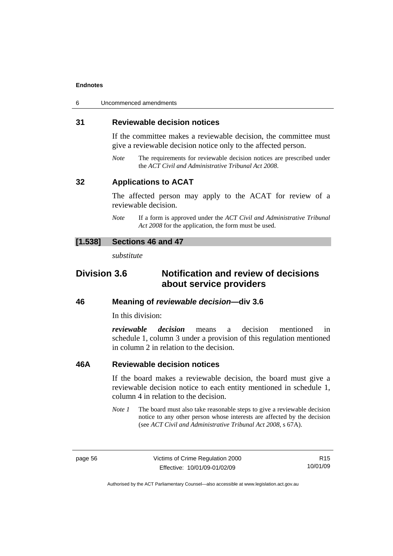| 6 | Uncommenced amendments |
|---|------------------------|
|---|------------------------|

#### **31 Reviewable decision notices**

If the committee makes a reviewable decision, the committee must give a reviewable decision notice only to the affected person.

*Note* The requirements for reviewable decision notices are prescribed under the *ACT Civil and Administrative Tribunal Act 2008*.

#### **32 Applications to ACAT**

The affected person may apply to the ACAT for review of a reviewable decision.

*Note* If a form is approved under the *ACT Civil and Administrative Tribunal Act 2008* for the application, the form must be used.

#### **[1.538] Sections 46 and 47**

*substitute* 

# **Division 3.6 Notification and review of decisions about service providers**

#### **46 Meaning of** *reviewable decision—***div 3.6**

In this division:

*reviewable decision* means a decision mentioned in schedule 1, column 3 under a provision of this regulation mentioned in column 2 in relation to the decision.

#### **46A Reviewable decision notices**

If the board makes a reviewable decision, the board must give a reviewable decision notice to each entity mentioned in schedule 1, column 4 in relation to the decision.

*Note 1* The board must also take reasonable steps to give a reviewable decision notice to any other person whose interests are affected by the decision (see *ACT Civil and Administrative Tribunal Act 2008*, s 67A).

R15 10/01/09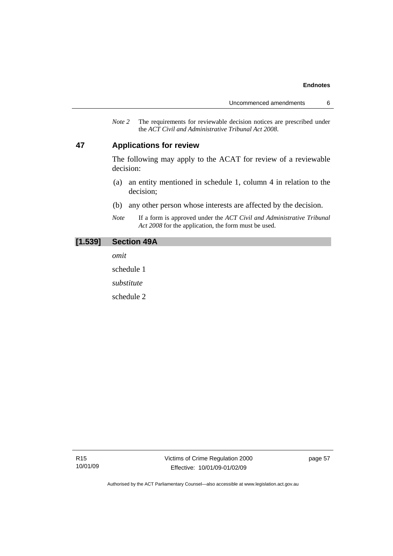*Note 2* The requirements for reviewable decision notices are prescribed under the *ACT Civil and Administrative Tribunal Act 2008*.

#### **47 Applications for review**

The following may apply to the ACAT for review of a reviewable decision:

- (a) an entity mentioned in schedule 1, column 4 in relation to the decision;
- (b) any other person whose interests are affected by the decision.
- *Note* If a form is approved under the *ACT Civil and Administrative Tribunal Act 2008* for the application, the form must be used.

#### **[1.539] Section 49A**

*omit* 

schedule 1

*substitute* 

schedule 2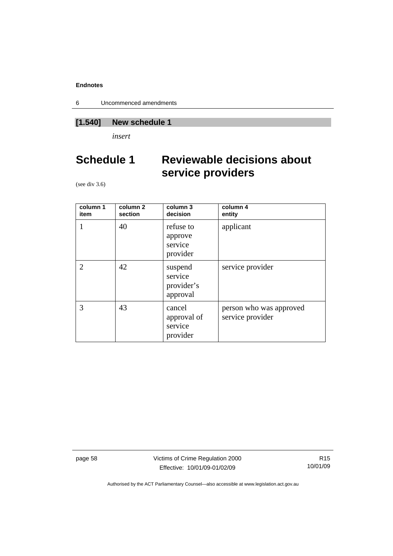6 Uncommenced amendments

# **[1.540] New schedule 1**

*insert* 

# **Schedule 1 Reviewable decisions about service providers**

(see div 3.6)

| column 1<br>item | column <sub>2</sub><br>section | column 3<br>decision                         | column 4<br>entity                          |
|------------------|--------------------------------|----------------------------------------------|---------------------------------------------|
|                  | 40                             | refuse to<br>approve<br>service<br>provider  | applicant                                   |
| 2                | 42                             | suspend<br>service<br>provider's<br>approval | service provider                            |
| 3                | 43                             | cancel<br>approval of<br>service<br>provider | person who was approved<br>service provider |

page 58 Victims of Crime Regulation 2000 Effective: 10/01/09-01/02/09

R15 10/01/09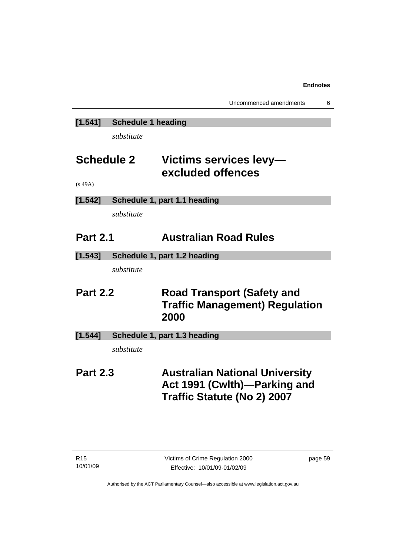# **[1.541] Schedule 1 heading**

*substitute* 

# **Schedule 2 Victims services levy excluded offences**

(s 49A)

# **[1.542] Schedule 1, part 1.1 heading**

*substitute* 

# **Part 2.1 Australian Road Rules**

**[1.543] Schedule 1, part 1.2 heading** 

*substitute* 

# **Part 2.2 Road Transport (Safety and Traffic Management) Regulation 2000**

# **[1.544] Schedule 1, part 1.3 heading**

*substitute* 

# **Part 2.3 Australian National University Act 1991 (Cwlth)—Parking and Traffic Statute (No 2) 2007**

page 59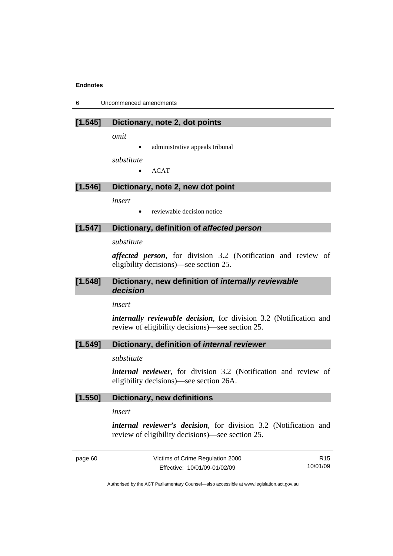6 Uncommenced amendments

#### **[1.545] Dictionary, note 2, dot points**

*omit* 

administrative appeals tribunal

*substitute* 

• ACAT

## **[1.546] Dictionary, note 2, new dot point**

*insert* 

• reviewable decision notice

#### **[1.547] Dictionary, definition of** *affected person*

*substitute* 

*affected person*, for division 3.2 (Notification and review of eligibility decisions)—see section 25.

#### **[1.548] Dictionary, new definition of** *internally reviewable decision*

*insert* 

*internally reviewable decision*, for division 3.2 (Notification and review of eligibility decisions)—see section 25.

#### **[1.549] Dictionary, definition of** *internal reviewer*

*substitute* 

*internal reviewer*, for division 3.2 (Notification and review of eligibility decisions)—see section 26A.

#### **[1.550] Dictionary, new definitions**

*insert* 

*internal reviewer's decision*, for division 3.2 (Notification and review of eligibility decisions)—see section 25.

page 60 Victims of Crime Regulation 2000 Effective: 10/01/09-01/02/09

R15 10/01/09